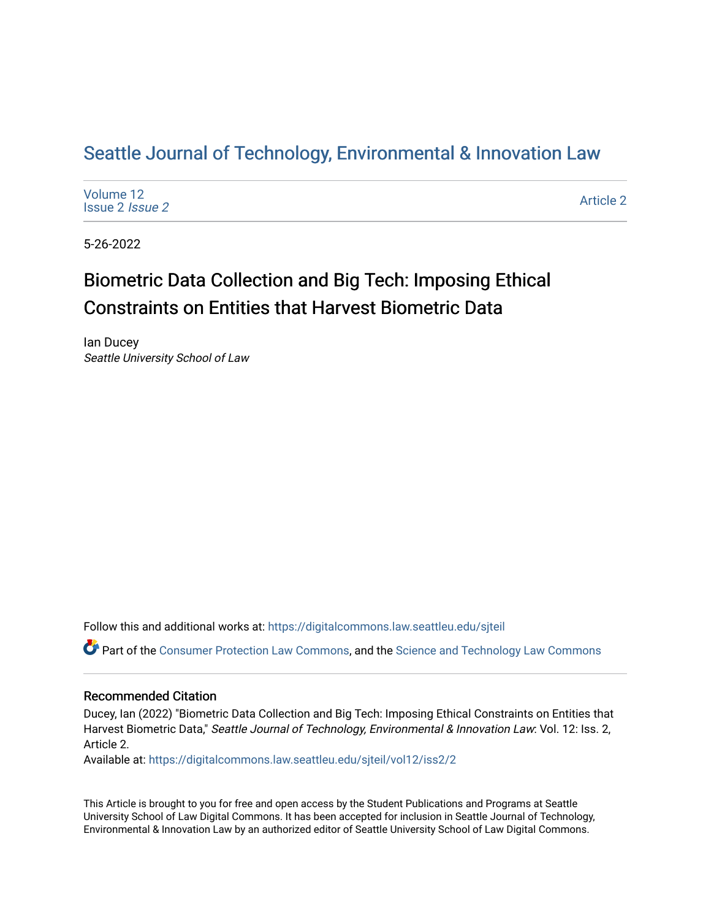# Seattle Journal of Technology, Environmental & Innovation Law

| Volume 12              |  |  |
|------------------------|--|--|
| Issue 2 <i>Issue 2</i> |  |  |

[Article 2](https://digitalcommons.law.seattleu.edu/sjteil/vol12/iss2/2) 

5-26-2022

# Biometric Data Collection and Big Tech: Imposing Ethical Constraints on Entities that Harvest Biometric Data

Ian Ducey Seattle University School of Law

Follow this and additional works at: [https://digitalcommons.law.seattleu.edu/sjteil](https://digitalcommons.law.seattleu.edu/sjteil?utm_source=digitalcommons.law.seattleu.edu%2Fsjteil%2Fvol12%2Fiss2%2F2&utm_medium=PDF&utm_campaign=PDFCoverPages)

Part of the [Consumer Protection Law Commons,](https://network.bepress.com/hgg/discipline/838?utm_source=digitalcommons.law.seattleu.edu%2Fsjteil%2Fvol12%2Fiss2%2F2&utm_medium=PDF&utm_campaign=PDFCoverPages) and the [Science and Technology Law Commons](https://network.bepress.com/hgg/discipline/875?utm_source=digitalcommons.law.seattleu.edu%2Fsjteil%2Fvol12%2Fiss2%2F2&utm_medium=PDF&utm_campaign=PDFCoverPages)

### Recommended Citation

Ducey, Ian (2022) "Biometric Data Collection and Big Tech: Imposing Ethical Constraints on Entities that Harvest Biometric Data," Seattle Journal of Technology, Environmental & Innovation Law: Vol. 12: Iss. 2, Article 2.

Available at: [https://digitalcommons.law.seattleu.edu/sjteil/vol12/iss2/2](https://digitalcommons.law.seattleu.edu/sjteil/vol12/iss2/2?utm_source=digitalcommons.law.seattleu.edu%2Fsjteil%2Fvol12%2Fiss2%2F2&utm_medium=PDF&utm_campaign=PDFCoverPages) 

This Article is brought to you for free and open access by the Student Publications and Programs at Seattle University School of Law Digital Commons. It has been accepted for inclusion in Seattle Journal of Technology, Environmental & Innovation Law by an authorized editor of Seattle University School of Law Digital Commons.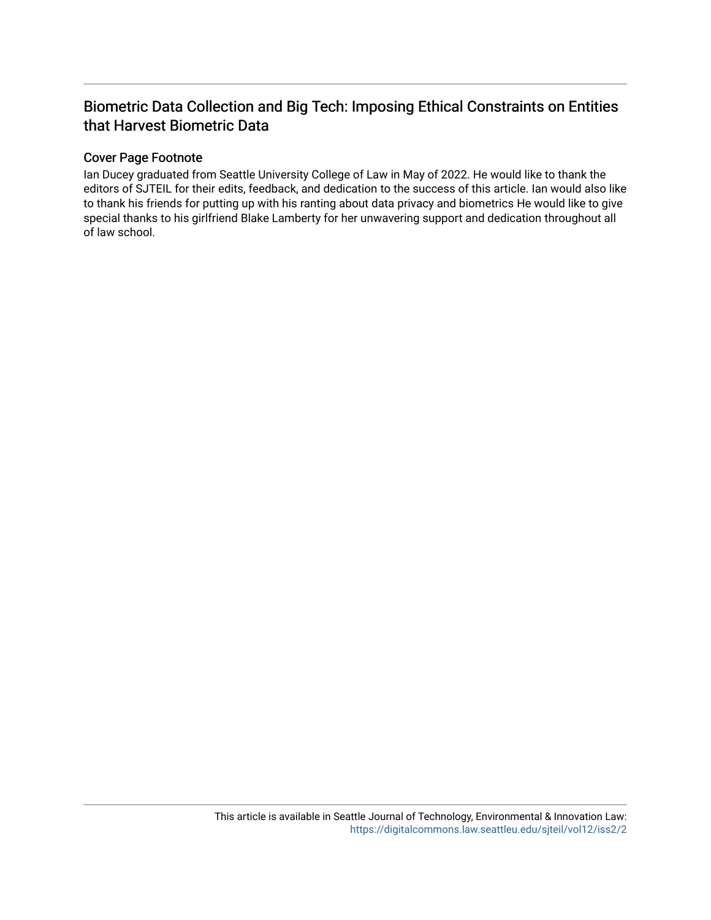# Biometric Data Collection and Big Tech: Imposing Ethical Constraints on Entities that Harvest Biometric Data

# Cover Page Footnote

Ian Ducey graduated from Seattle University College of Law in May of 2022. He would like to thank the editors of SJTEIL for their edits, feedback, and dedication to the success of this article. Ian would also like to thank his friends for putting up with his ranting about data privacy and biometrics He would like to give special thanks to his girlfriend Blake Lamberty for her unwavering support and dedication throughout all of law school.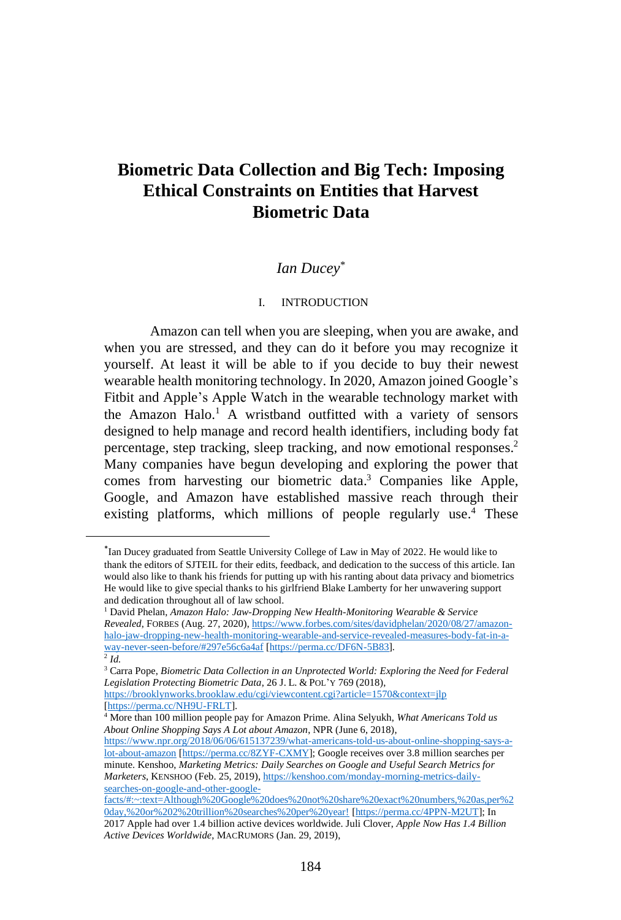# **Biometric Data Collection and Big Tech: Imposing Ethical Constraints on Entities that Harvest Biometric Data**

### *Ian Ducey\**

#### I. INTRODUCTION

Amazon can tell when you are sleeping, when you are awake, and when you are stressed, and they can do it before you may recognize it yourself. At least it will be able to if you decide to buy their newest wearable health monitoring technology. In 2020, Amazon joined Google's Fitbit and Apple's Apple Watch in the wearable technology market with the Amazon Halo. <sup>1</sup> A wristband outfitted with a variety of sensors designed to help manage and record health identifiers, including body fat percentage, step tracking, sleep tracking, and now emotional responses. 2 Many companies have begun developing and exploring the power that comes from harvesting our biometric data. <sup>3</sup> Companies like Apple, Google, and Amazon have established massive reach through their existing platforms, which millions of people regularly use. <sup>4</sup> These

<sup>\*</sup> Ian Ducey graduated from Seattle University College of Law in May of 2022. He would like to thank the editors of SJTEIL for their edits, feedback, and dedication to the success of this article. Ian would also like to thank his friends for putting up with his ranting about data privacy and biometrics He would like to give special thanks to his girlfriend Blake Lamberty for her unwavering support and dedication throughout all of law school.

<sup>1</sup> David Phelan, *Amazon Halo: Jaw-Dropping New Health-Monitoring Wearable & Service Revealed*, FORBES (Aug. 27, 2020), [https://www.forbes.com/sites/davidphelan/2020/08/27/amazon](https://www.forbes.com/sites/davidphelan/2020/08/27/amazon-halo-jaw-dropping-new-health-monitoring-wearable-and-service-revealed-measures-body-fat-in-a-way-never-seen-before/#297e56c6a4af)[halo-jaw-dropping-new-health-monitoring-wearable-and-service-revealed-measures-body-fat-in-a](https://www.forbes.com/sites/davidphelan/2020/08/27/amazon-halo-jaw-dropping-new-health-monitoring-wearable-and-service-revealed-measures-body-fat-in-a-way-never-seen-before/#297e56c6a4af)[way-never-seen-before/#297e56c6a4af](https://www.forbes.com/sites/davidphelan/2020/08/27/amazon-halo-jaw-dropping-new-health-monitoring-wearable-and-service-revealed-measures-body-fat-in-a-way-never-seen-before/#297e56c6a4af) [\[https://perma.cc/DF6N-5B83\]](https://perma.cc/DF6N-5B83). 2 *Id.*

<sup>3</sup> Carra Pope, *Biometric Data Collection in an Unprotected World: Exploring the Need for Federal Legislation Protecting Biometric Data*, 26 J. L. & POL'Y 769 (2018), <https://brooklynworks.brooklaw.edu/cgi/viewcontent.cgi?article=1570&context=jlp> [\[https://perma.cc/NH9U-FRLT\]](https://perma.cc/NH9U-FRLT).

<sup>4</sup> More than 100 million people pay for Amazon Prime. Alina Selyukh, *What Americans Told us About Online Shopping Says A Lot about Amazon*, NPR (June 6, 2018),

[https://www.npr.org/2018/06/06/615137239/what-americans-told-us-about-online-shopping-says-a](https://www.npr.org/2018/06/06/615137239/what-americans-told-us-about-online-shopping-says-a-lot-about-amazon)[lot-about-amazon](https://www.npr.org/2018/06/06/615137239/what-americans-told-us-about-online-shopping-says-a-lot-about-amazon) [\[https://perma.cc/8ZYF-CXMY\]](https://perma.cc/8ZYF-CXMY); Google receives over 3.8 million searches per minute. Kenshoo, *Marketing Metrics: Daily Searches on Google and Useful Search Metrics for Marketers*, KENSHOO (Feb. 25, 2019), [https://kenshoo.com/monday-morning-metrics-daily](https://kenshoo.com/monday-morning-metrics-daily-searches-on-google-and-other-google-facts/#:~:text=Although%20Google%20does%20not%20share%20exact%20numbers,%20as,per%20day,%20or%202%20trillion%20searches%20per%20year!)[searches-on-google-and-other-google-](https://kenshoo.com/monday-morning-metrics-daily-searches-on-google-and-other-google-facts/#:~:text=Although%20Google%20does%20not%20share%20exact%20numbers,%20as,per%20day,%20or%202%20trillion%20searches%20per%20year!)

[facts/#:~:text=Although%20Google%20does%20not%20share%20exact%20numbers,%20as,per%2](https://kenshoo.com/monday-morning-metrics-daily-searches-on-google-and-other-google-facts/#:~:text=Although%20Google%20does%20not%20share%20exact%20numbers,%20as,per%20day,%20or%202%20trillion%20searches%20per%20year!) [0day,%20or%202%20trillion%20searches%20per%20year!](https://kenshoo.com/monday-morning-metrics-daily-searches-on-google-and-other-google-facts/#:~:text=Although%20Google%20does%20not%20share%20exact%20numbers,%20as,per%20day,%20or%202%20trillion%20searches%20per%20year!) [\[https://perma.cc/4PPN-M2UT\]](https://perma.cc/4PPN-M2UT); In 2017 Apple had over 1.4 billion active devices worldwide. Juli Clover, *Apple Now Has 1.4 Billion Active Devices Worldwide*, MACRUMORS (Jan. 29, 2019),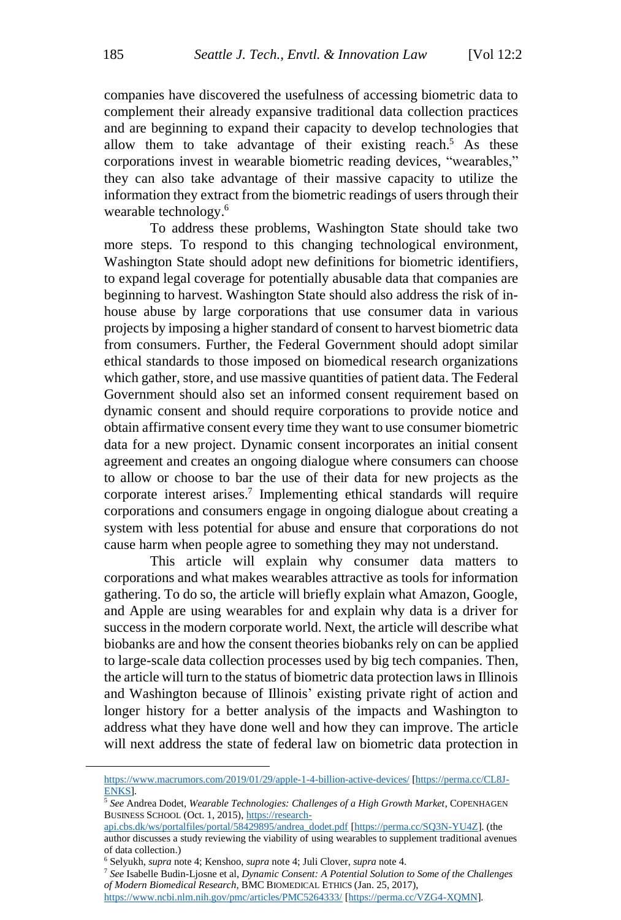companies have discovered the usefulness of accessing biometric data to complement their already expansive traditional data collection practices and are beginning to expand their capacity to develop technologies that allow them to take advantage of their existing reach.<sup>5</sup> As these corporations invest in wearable biometric reading devices, "wearables," they can also take advantage of their massive capacity to utilize the information they extract from the biometric readings of users through their wearable technology. 6

To address these problems, Washington State should take two more steps. To respond to this changing technological environment, Washington State should adopt new definitions for biometric identifiers, to expand legal coverage for potentially abusable data that companies are beginning to harvest. Washington State should also address the risk of inhouse abuse by large corporations that use consumer data in various projects by imposing a higher standard of consent to harvest biometric data from consumers. Further, the Federal Government should adopt similar ethical standards to those imposed on biomedical research organizations which gather, store, and use massive quantities of patient data. The Federal Government should also set an informed consent requirement based on dynamic consent and should require corporations to provide notice and obtain affirmative consent every time they want to use consumer biometric data for a new project. Dynamic consent incorporates an initial consent agreement and creates an ongoing dialogue where consumers can choose to allow or choose to bar the use of their data for new projects as the corporate interest arises.<sup>7</sup> Implementing ethical standards will require corporations and consumers engage in ongoing dialogue about creating a system with less potential for abuse and ensure that corporations do not cause harm when people agree to something they may not understand.

This article will explain why consumer data matters to corporations and what makes wearables attractive as tools for information gathering. To do so, the article will briefly explain what Amazon, Google, and Apple are using wearables for and explain why data is a driver for success in the modern corporate world. Next, the article will describe what biobanks are and how the consent theories biobanks rely on can be applied to large-scale data collection processes used by big tech companies. Then, the article will turn to the status of biometric data protection lawsin Illinois and Washington because of Illinois' existing private right of action and longer history for a better analysis of the impacts and Washington to address what they have done well and how they can improve. The article will next address the state of federal law on biometric data protection in

<sup>7</sup> *See* Isabelle Budin-Ljosne et al, *Dynamic Consent: A Potential Solution to Some of the Challenges of Modern Biomedical Research*, BMC BIOMEDICAL ETHICS (Jan. 25, 2017),

<https://www.ncbi.nlm.nih.gov/pmc/articles/PMC5264333/> [\[https://perma.cc/VZG4-XQMN\]](https://perma.cc/VZG4-XQMN).

<https://www.macrumors.com/2019/01/29/apple-1-4-billion-active-devices/> [\[https://perma.cc/CL8J-](https://perma.cc/CL8J-ENKS)[ENKS\]](https://perma.cc/CL8J-ENKS).

<sup>5</sup> *See* Andrea Dodet, *Wearable Technologies: Challenges of a High Growth Market*, COPENHAGEN BUSINESS SCHOOL (Oct. 1, 2015), [https://research-](https://research-api.cbs.dk/ws/portalfiles/portal/58429895/andrea_dodet.pdf)

[api.cbs.dk/ws/portalfiles/portal/58429895/andrea\\_dodet.pdf](https://research-api.cbs.dk/ws/portalfiles/portal/58429895/andrea_dodet.pdf) [https://perma.cc/SQ3N-YU4Z]. (the author discusses a study reviewing the viability of using wearables to supplement traditional avenues of data collection.)

<sup>6</sup> Selyukh, *supra* note 4; Kenshoo, *supra* note 4; Juli Clover, *supra* note 4.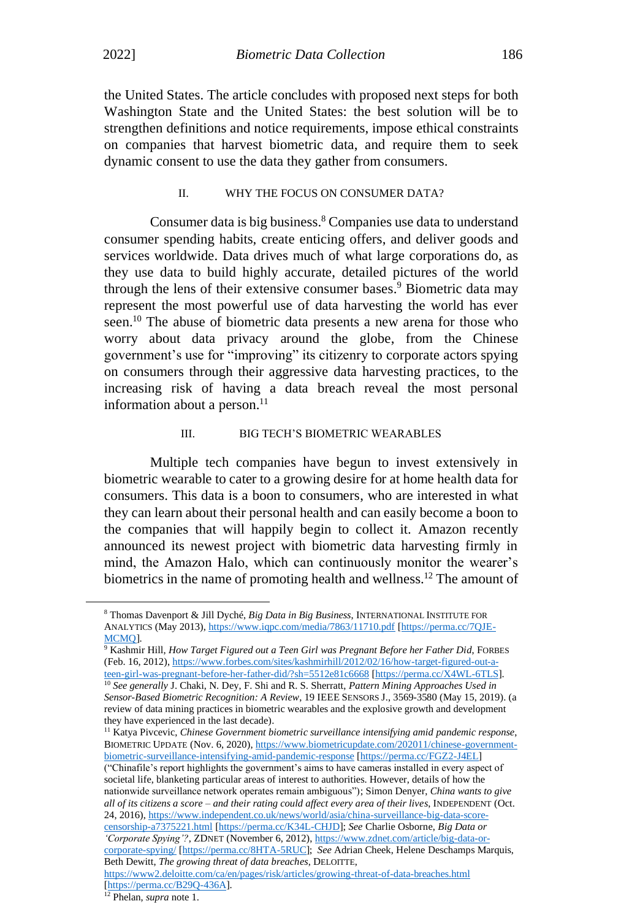the United States. The article concludes with proposed next steps for both Washington State and the United States: the best solution will be to strengthen definitions and notice requirements, impose ethical constraints on companies that harvest biometric data, and require them to seek dynamic consent to use the data they gather from consumers.

#### II. WHY THE FOCUS ON CONSUMER DATA?

Consumer data is big business. <sup>8</sup> Companies use data to understand consumer spending habits, create enticing offers, and deliver goods and services worldwide. Data drives much of what large corporations do, as they use data to build highly accurate, detailed pictures of the world through the lens of their extensive consumer bases. <sup>9</sup> Biometric data may represent the most powerful use of data harvesting the world has ever seen.<sup>10</sup> The abuse of biometric data presents a new arena for those who worry about data privacy around the globe, from the Chinese government's use for "improving" its citizenry to corporate actors spying on consumers through their aggressive data harvesting practices, to the increasing risk of having a data breach reveal the most personal information about a person. $11$ 

#### III. BIG TECH'S BIOMETRIC WEARABLES

Multiple tech companies have begun to invest extensively in biometric wearable to cater to a growing desire for at home health data for consumers. This data is a boon to consumers, who are interested in what they can learn about their personal health and can easily become a boon to the companies that will happily begin to collect it. Amazon recently announced its newest project with biometric data harvesting firmly in mind, the Amazon Halo, which can continuously monitor the wearer's biometrics in the name of promoting health and wellness.<sup>12</sup> The amount of

<sup>8</sup> Thomas Davenport & Jill Dyché, *Big Data in Big Business*, INTERNATIONAL INSTITUTE FOR ANALYTICS (May 2013)[, https://www.iqpc.com/media/7863/11710.pdf](https://www.iqpc.com/media/7863/11710.pdf) [\[https://perma.cc/7QJE-](https://perma.cc/7QJE-MCMQ)[MCMQ\]](https://perma.cc/7QJE-MCMQ).

<sup>9</sup> Kashmir Hill, *How Target Figured out a Teen Girl was Pregnant Before her Father Did*, FORBES (Feb. 16, 2012), [https://www.forbes.com/sites/kashmirhill/2012/02/16/how-target-figured-out-a](https://www.forbes.com/sites/kashmirhill/2012/02/16/how-target-figured-out-a-teen-girl-was-pregnant-before-her-father-did/?sh=5512e81c6668)[teen-girl-was-pregnant-before-her-father-did/?sh=5512e81c6668](https://www.forbes.com/sites/kashmirhill/2012/02/16/how-target-figured-out-a-teen-girl-was-pregnant-before-her-father-did/?sh=5512e81c6668) [\[https://perma.cc/X4WL-6TLS\]](https://perma.cc/X4WL-6TLS).

<sup>10</sup> *See generally* J. Chaki, N. Dey, F. Shi and R. S. Sherratt, *Pattern Mining Approaches Used in Sensor-Based Biometric Recognition: A Review*, 19 IEEE SENSORS J., 3569-3580 (May 15, 2019). (a review of data mining practices in biometric wearables and the explosive growth and development they have experienced in the last decade).

<sup>&</sup>lt;sup>11</sup> Katya Pivcevic, *Chinese Government biometric surveillance intensifying amid pandemic response*, BIOMETRIC UPDATE (Nov. 6, 2020), [https://www.biometricupdate.com/202011/chinese-government](https://www.biometricupdate.com/202011/chinese-government-biometric-surveillance-intensifying-amid-pandemic-response)[biometric-surveillance-intensifying-amid-pandemic-response](https://www.biometricupdate.com/202011/chinese-government-biometric-surveillance-intensifying-amid-pandemic-response) [\[https://perma.cc/FGZ2-J4EL\]](https://perma.cc/FGZ2-J4EL)

<sup>(&</sup>quot;Chinafile's report highlights the government's aims to have cameras installed in every aspect of societal life, blanketing particular areas of interest to authorities. However, details of how the nationwide surveillance network operates remain ambiguous"); Simon Denyer, *China wants to give all of its citizens a score – and their rating could affect every area of their lives*, INDEPENDENT (Oct. 24, 2016), [https://www.independent.co.uk/news/world/asia/china-surveillance-big-data-score](https://www.independent.co.uk/news/world/asia/china-surveillance-big-data-score-censorship-a7375221.html)[censorship-a7375221.html](https://www.independent.co.uk/news/world/asia/china-surveillance-big-data-score-censorship-a7375221.html) [\[https://perma.cc/K34L-CHJD\]](https://perma.cc/K34L-CHJD); *See* Charlie Osborne, *Big Data or 'Corporate Spying'?*, ZDNET (November 6, 2012)[, https://www.zdnet.com/article/big-data-or](https://www.zdnet.com/article/big-data-or-corporate-spying/)[corporate-spying/](https://www.zdnet.com/article/big-data-or-corporate-spying/) [\[https://perma.cc/8HTA-5RUC\]](https://perma.cc/8HTA-5RUC); *See* Adrian Cheek, Helene Deschamps Marquis, Beth Dewitt, *The growing threat of data breaches*, DELOITTE,

<https://www2.deloitte.com/ca/en/pages/risk/articles/growing-threat-of-data-breaches.html> [https://perma.cc/B29O-436A].

<sup>12</sup> Phelan, *supra* note 1.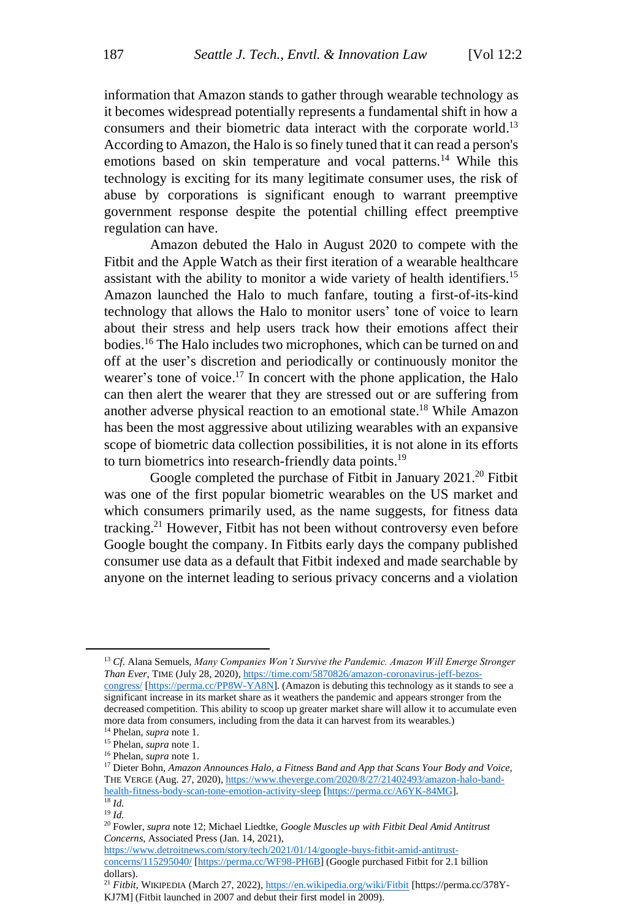information that Amazon stands to gather through wearable technology as it becomes widespread potentially represents a fundamental shift in how a consumers and their biometric data interact with the corporate world.<sup>13</sup> According to Amazon, the Halo is so finely tuned that it can read a person's emotions based on skin temperature and vocal patterns.<sup>14</sup> While this technology is exciting for its many legitimate consumer uses, the risk of abuse by corporations is significant enough to warrant preemptive government response despite the potential chilling effect preemptive regulation can have.

Amazon debuted the Halo in August 2020 to compete with the Fitbit and the Apple Watch as their first iteration of a wearable healthcare assistant with the ability to monitor a wide variety of health identifiers.<sup>15</sup> Amazon launched the Halo to much fanfare, touting a first-of-its-kind technology that allows the Halo to monitor users' tone of voice to learn about their stress and help users track how their emotions affect their bodies. <sup>16</sup> The Halo includes two microphones, which can be turned on and off at the user's discretion and periodically or continuously monitor the wearer's tone of voice.<sup>17</sup> In concert with the phone application, the Halo can then alert the wearer that they are stressed out or are suffering from another adverse physical reaction to an emotional state. <sup>18</sup> While Amazon has been the most aggressive about utilizing wearables with an expansive scope of biometric data collection possibilities, it is not alone in its efforts to turn biometrics into research-friendly data points.<sup>19</sup>

Google completed the purchase of Fitbit in January 2021.<sup>20</sup> Fitbit was one of the first popular biometric wearables on the US market and which consumers primarily used, as the name suggests, for fitness data tracking.<sup>21</sup> However, Fitbit has not been without controversy even before Google bought the company. In Fitbits early days the company published consumer use data as a default that Fitbit indexed and made searchable by anyone on the internet leading to serious privacy concerns and a violation

<sup>&</sup>lt;sup>13</sup> Cf. Alana Semuels, *Many Companies Won't Survive the Pandemic. Amazon Will Emerge Stronger Than Ever*, TIME (July 28, 2020), [https://time.com/5870826/amazon-coronavirus-jeff-bezos](https://time.com/5870826/amazon-coronavirus-jeff-bezos-congress/)[congress/](https://time.com/5870826/amazon-coronavirus-jeff-bezos-congress/) [\[https://perma.cc/PP8W-YA8N\]](https://perma.cc/PP8W-YA8N). (Amazon is debuting this technology as it stands to see a significant increase in its market share as it weathers the pandemic and appears stronger from the decreased competition. This ability to scoop up greater market share will allow it to accumulate even more data from consumers, including from the data it can harvest from its wearables.)

<sup>14</sup> Phelan, *supra* note 1.

<sup>15</sup> Phelan, *supra* note 1.

<sup>16</sup> Phelan, *supra* note 1.

<sup>17</sup> Dieter Bohn, *Amazon Announces Halo, a Fitness Band and App that Scans Your Body and Voice*, THE VERGE (Aug. 27, 2020), [https://www.theverge.com/2020/8/27/21402493/amazon-halo-band](https://www.theverge.com/2020/8/27/21402493/amazon-halo-band-health-fitness-body-scan-tone-emotion-activity-sleep)[health-fitness-body-scan-tone-emotion-activity-sleep](https://www.theverge.com/2020/8/27/21402493/amazon-halo-band-health-fitness-body-scan-tone-emotion-activity-sleep) [\[https://perma.cc/A6YK-84MG\]](https://perma.cc/A6YK-84MG). <sup>18</sup> *Id.*

<sup>19</sup> *Id.*

<sup>20</sup> Fowler, *supra* note 12; Michael Liedtke, *Google Muscles up with Fitbit Deal Amid Antitrust Concerns*, Associated Press (Jan. 14, 2021),

[https://www.detroitnews.com/story/tech/2021/01/14/google-buys-fitbit-amid-antitrust](https://www.detroitnews.com/story/tech/2021/01/14/google-buys-fitbit-amid-antitrust-concerns/115295040/)[concerns/115295040/](https://www.detroitnews.com/story/tech/2021/01/14/google-buys-fitbit-amid-antitrust-concerns/115295040/) [\[https://perma.cc/WF98-PH6B\]](https://perma.cc/WF98-PH6B) (Google purchased Fitbit for 2.1 billion dollars).

<sup>&</sup>lt;sup>21</sup> Fitbit, WIKIPEDIA (March 27, 2022)[, https://en.wikipedia.org/wiki/Fitbit](https://en.wikipedia.org/wiki/Fitbit) [https://perma.cc/378Y-KJ7M] (Fitbit launched in 2007 and debut their first model in 2009).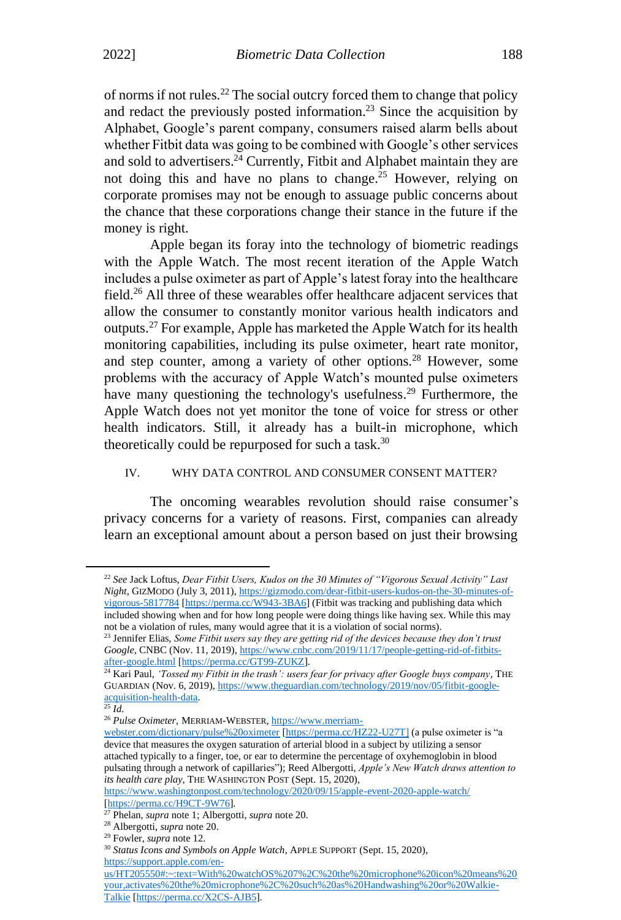of norms if not rules.<sup>22</sup> The social outcry forced them to change that policy and redact the previously posted information.<sup>23</sup> Since the acquisition by Alphabet, Google's parent company, consumers raised alarm bells about whether Fitbit data was going to be combined with Google's other services and sold to advertisers.<sup>24</sup> Currently, Fitbit and Alphabet maintain they are not doing this and have no plans to change.<sup>25</sup> However, relying on corporate promises may not be enough to assuage public concerns about the chance that these corporations change their stance in the future if the money is right.

Apple began its foray into the technology of biometric readings with the Apple Watch. The most recent iteration of the Apple Watch includes a pulse oximeter as part of Apple's latest foray into the healthcare field.<sup>26</sup> All three of these wearables offer healthcare adjacent services that allow the consumer to constantly monitor various health indicators and outputs.<sup>27</sup> For example, Apple has marketed the Apple Watch for its health monitoring capabilities, including its pulse oximeter, heart rate monitor, and step counter, among a variety of other options.<sup>28</sup> However, some problems with the accuracy of Apple Watch's mounted pulse oximeters have many questioning the technology's usefulness.<sup>29</sup> Furthermore, the Apple Watch does not yet monitor the tone of voice for stress or other health indicators. Still, it already has a built-in microphone, which theoretically could be repurposed for such a task.<sup>30</sup>

#### IV. WHY DATA CONTROL AND CONSUMER CONSENT MATTER?

The oncoming wearables revolution should raise consumer's privacy concerns for a variety of reasons. First, companies can already learn an exceptional amount about a person based on just their browsing

<sup>22</sup> *See* Jack Loftus, *Dear Fitbit Users, Kudos on the 30 Minutes of "Vigorous Sexual Activity" Last Night*, GIZMODO (July 3, 2011)[, https://gizmodo.com/dear-fitbit-users-kudos-on-the-30-minutes-of](https://gizmodo.com/dear-fitbit-users-kudos-on-the-30-minutes-of-vigorous-5817784)[vigorous-5817784](https://gizmodo.com/dear-fitbit-users-kudos-on-the-30-minutes-of-vigorous-5817784) [\[https://perma.cc/W943-3BA6\]](https://perma.cc/W943-3BA6) (Fitbit was tracking and publishing data which included showing when and for how long people were doing things like having sex. While this may not be a violation of rules, many would agree that it is a violation of social norms).

<sup>23</sup> Jennifer Elias, *Some Fitbit users say they are getting rid of the devices because they don't trust Google*, CNBC (Nov. 11, 2019), [https://www.cnbc.com/2019/11/17/people-getting-rid-of-fitbits](https://www.cnbc.com/2019/11/17/people-getting-rid-of-fitbits-after-google.html)[after-google.html](https://www.cnbc.com/2019/11/17/people-getting-rid-of-fitbits-after-google.html) [\[https://perma.cc/GT99-ZUKZ\]](https://perma.cc/GT99-ZUKZ).

<sup>&</sup>lt;sup>24</sup> Kari Paul, *'Tossed my Fitbit in the trash': users fear for privacy after Google buys company*, THE GUARDIAN (Nov. 6, 2019)[, https://www.theguardian.com/technology/2019/nov/05/fitbit-google](https://www.theguardian.com/technology/2019/nov/05/fitbit-google-acquisition-health-data)[acquisition-health-data.](https://www.theguardian.com/technology/2019/nov/05/fitbit-google-acquisition-health-data)

<sup>25</sup> *Id.*

<sup>&</sup>lt;sup>26</sup> Pulse Oximeter, MERRIAM-WEBSTER[, https://www.merriam-](https://www.merriam-webster.com/dictionary/pulse%20oximeter)

[webster.com/dictionary/pulse%20oximeter](https://www.merriam-webster.com/dictionary/pulse%20oximeter) [\[https://perma.cc/HZ22-U27T\]](https://perma.cc/HZ22-U27T) (a pulse oximeter is "a device that measures the oxygen saturation of arterial blood in a subject by utilizing a sensor attached typically to a finger, toe, or ear to determine the percentage of oxyhemoglobin in blood pulsating through a network of capillaries"); Reed Albergotti, *Apple's New Watch draws attention to its health care play*, THE WASHINGTON POST (Sept. 15, 2020),

<https://www.washingtonpost.com/technology/2020/09/15/apple-event-2020-apple-watch/> [\[https://perma.cc/H9CT-9W76\]](https://perma.cc/H9CT-9W76).

<sup>27</sup> Phelan, *supra* note 1; Albergotti, *supra* note 20.

<sup>28</sup> Albergotti, *supra* note 20.

<sup>29</sup> Fowler, *supra* note 12.

<sup>30</sup> *Status Icons and Symbols on Apple Watch*, APPLE SUPPORT (Sept. 15, 2020), [https://support.apple.com/en-](https://support.apple.com/en-us/HT205550#:~:text=With%20watchOS%207%2C%20the%20microphone%20icon%20means%20your,activates%20the%20microphone%2C%20such%20as%20Handwashing%20or%20Walkie-Talkie)

[us/HT205550#:~:text=With%20watchOS%207%2C%20the%20microphone%20icon%20means%20](https://support.apple.com/en-us/HT205550#:~:text=With%20watchOS%207%2C%20the%20microphone%20icon%20means%20your,activates%20the%20microphone%2C%20such%20as%20Handwashing%20or%20Walkie-Talkie) [your,activates%20the%20microphone%2C%20such%20as%20Handwashing%20or%20Walkie-](https://support.apple.com/en-us/HT205550#:~:text=With%20watchOS%207%2C%20the%20microphone%20icon%20means%20your,activates%20the%20microphone%2C%20such%20as%20Handwashing%20or%20Walkie-Talkie)[Talkie](https://support.apple.com/en-us/HT205550#:~:text=With%20watchOS%207%2C%20the%20microphone%20icon%20means%20your,activates%20the%20microphone%2C%20such%20as%20Handwashing%20or%20Walkie-Talkie) [\[https://perma.cc/X2CS-AJB5\]](https://perma.cc/X2CS-AJB5).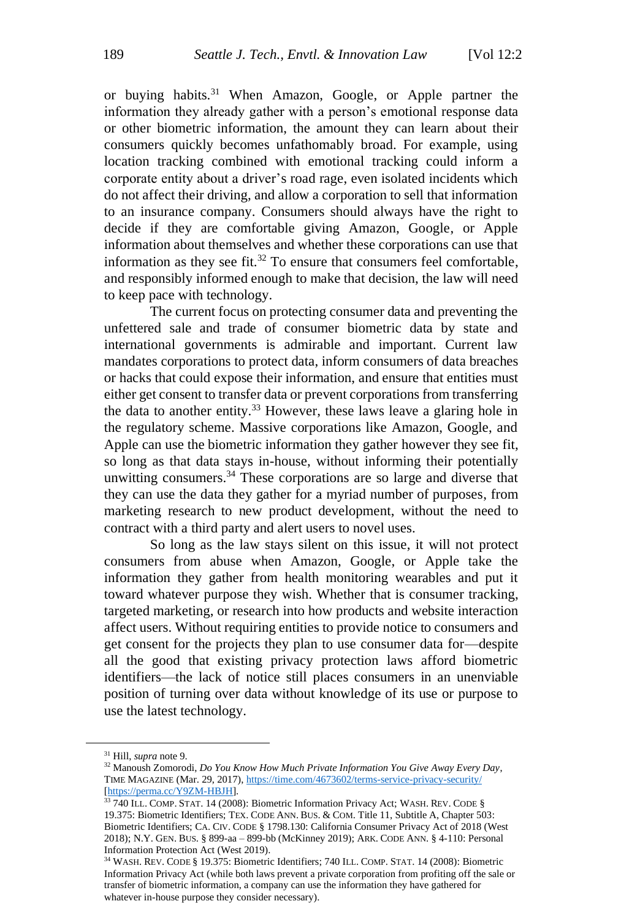or buving habits.<sup>31</sup> When Amazon, Google, or Apple partner the information they already gather with a person's emotional response data or other biometric information, the amount they can learn about their consumers quickly becomes unfathomably broad. For example, using location tracking combined with emotional tracking could inform a corporate entity about a driver's road rage, even isolated incidents which do not affect their driving, and allow a corporation to sell that information to an insurance company. Consumers should always have the right to decide if they are comfortable giving Amazon, Google, or Apple information about themselves and whether these corporations can use that information as they see fit. $32$  To ensure that consumers feel comfortable, and responsibly informed enough to make that decision, the law will need to keep pace with technology.

The current focus on protecting consumer data and preventing the unfettered sale and trade of consumer biometric data by state and international governments is admirable and important. Current law mandates corporations to protect data, inform consumers of data breaches or hacks that could expose their information, and ensure that entities must either get consent to transfer data or prevent corporations from transferring the data to another entity.<sup>33</sup> However, these laws leave a glaring hole in the regulatory scheme. Massive corporations like Amazon, Google, and Apple can use the biometric information they gather however they see fit, so long as that data stays in-house, without informing their potentially unwitting consumers.<sup>34</sup> These corporations are so large and diverse that they can use the data they gather for a myriad number of purposes, from marketing research to new product development, without the need to contract with a third party and alert users to novel uses.

So long as the law stays silent on this issue, it will not protect consumers from abuse when Amazon, Google, or Apple take the information they gather from health monitoring wearables and put it toward whatever purpose they wish. Whether that is consumer tracking, targeted marketing, or research into how products and website interaction affect users. Without requiring entities to provide notice to consumers and get consent for the projects they plan to use consumer data for—despite all the good that existing privacy protection laws afford biometric identifiers—the lack of notice still places consumers in an unenviable position of turning over data without knowledge of its use or purpose to use the latest technology.

<sup>31</sup> Hill, *supra* note 9.

<sup>32</sup> Manoush Zomorodi, *Do You Know How Much Private Information You Give Away Every Day*, TIME MAGAZINE (Mar. 29, 2017), <https://time.com/4673602/terms-service-privacy-security/> [\[https://perma.cc/Y9ZM-HBJH\]](https://perma.cc/Y9ZM-HBJH).

<sup>&</sup>lt;sup>33</sup> 740 ILL. COMP. STAT. 14 (2008): Biometric Information Privacy Act; WASH. REV. CODE § 19.375: Biometric Identifiers; TEX. CODE ANN. BUS. & COM. Title 11, Subtitle A, Chapter 503: Biometric Identifiers; CA. CIV. CODE § 1798.130: California Consumer Privacy Act of 2018 (West 2018); N.Y. GEN. BUS. § 899-aa – 899-bb (McKinney 2019); ARK. CODE ANN. § 4-110: Personal Information Protection Act (West 2019).

<sup>34</sup> WASH. REV. CODE § 19.375: Biometric Identifiers; 740 ILL. COMP. STAT. 14 (2008): Biometric Information Privacy Act (while both laws prevent a private corporation from profiting off the sale or transfer of biometric information, a company can use the information they have gathered for whatever in-house purpose they consider necessary).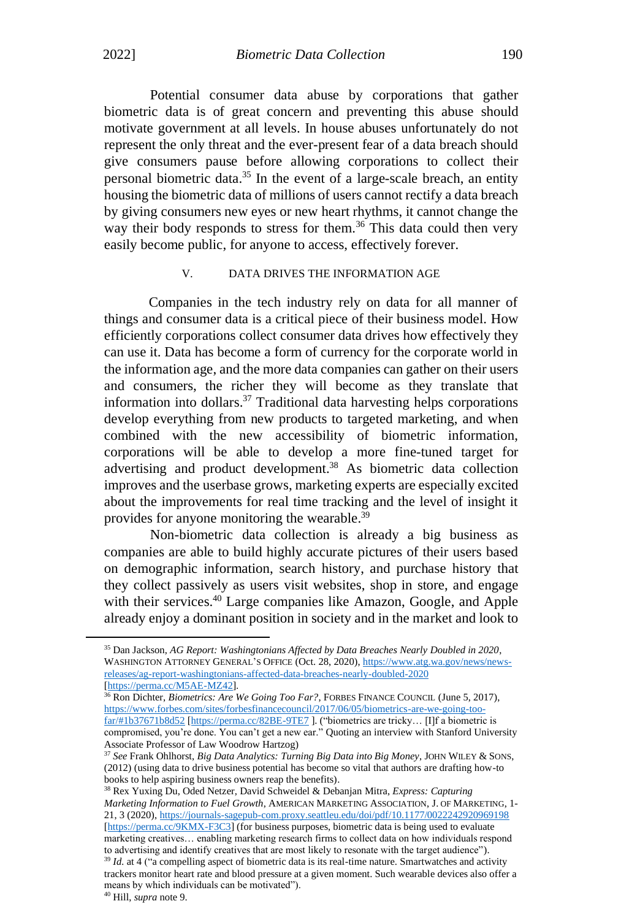Potential consumer data abuse by corporations that gather biometric data is of great concern and preventing this abuse should motivate government at all levels. In house abuses unfortunately do not represent the only threat and the ever-present fear of a data breach should give consumers pause before allowing corporations to collect their personal biometric data.<sup>35</sup> In the event of a large-scale breach, an entity housing the biometric data of millions of users cannot rectify a data breach by giving consumers new eyes or new heart rhythms, it cannot change the way their body responds to stress for them.<sup>36</sup> This data could then very easily become public, for anyone to access, effectively forever.

#### V. DATA DRIVES THE INFORMATION AGE

Companies in the tech industry rely on data for all manner of things and consumer data is a critical piece of their business model. How efficiently corporations collect consumer data drives how effectively they can use it. Data has become a form of currency for the corporate world in the information age, and the more data companies can gather on their users and consumers, the richer they will become as they translate that information into dollars. <sup>37</sup> Traditional data harvesting helps corporations develop everything from new products to targeted marketing, and when combined with the new accessibility of biometric information, corporations will be able to develop a more fine-tuned target for advertising and product development. <sup>38</sup> As biometric data collection improves and the userbase grows, marketing experts are especially excited about the improvements for real time tracking and the level of insight it provides for anyone monitoring the wearable.<sup>39</sup>

Non-biometric data collection is already a big business as companies are able to build highly accurate pictures of their users based on demographic information, search history, and purchase history that they collect passively as users visit websites, shop in store, and engage with their services.<sup>40</sup> Large companies like Amazon, Google, and Apple already enjoy a dominant position in society and in the market and look to

<sup>35</sup> Dan Jackson, *AG Report: Washingtonians Affected by Data Breaches Nearly Doubled in 2020*, WASHINGTON ATTORNEY GENERAL'S OFFICE (Oct. 28, 2020), [https://www.atg.wa.gov/news/news](https://www.atg.wa.gov/news/news-releases/ag-report-washingtonians-affected-data-breaches-nearly-doubled-2020)[releases/ag-report-washingtonians-affected-data-breaches-nearly-doubled-2020](https://www.atg.wa.gov/news/news-releases/ag-report-washingtonians-affected-data-breaches-nearly-doubled-2020) [\[https://perma.cc/M5AE-MZ42\]](https://perma.cc/M5AE-MZ42).

<sup>&</sup>lt;sup>36</sup> Ron Dichter, *Biometrics: Are We Going Too Far?*, FORBES FINANCE COUNCIL (June 5, 2017), [https://www.forbes.com/sites/forbesfinancecouncil/2017/06/05/biometrics-are-we-going-too](https://www.forbes.com/sites/forbesfinancecouncil/2017/06/05/biometrics-are-we-going-too-far/#1b37671b8d52)[far/#1b37671b8d52](https://www.forbes.com/sites/forbesfinancecouncil/2017/06/05/biometrics-are-we-going-too-far/#1b37671b8d52) [\[https://perma.cc/82BE-9TE7](https://perma.cc/82BE-9TE7) ]. ("biometrics are tricky… [I]f a biometric is compromised, you're done. You can't get a new ear." Quoting an interview with Stanford University Associate Professor of Law Woodrow Hartzog)

<sup>37</sup> *See* Frank Ohlhorst, *Big Data Analytics: Turning Big Data into Big Money*, JOHN WILEY & SONS, (2012) (using data to drive business potential has become so vital that authors are drafting how-to books to help aspiring business owners reap the benefits).

<sup>38</sup> Rex Yuxing Du, Oded Netzer, David Schweidel & Debanjan Mitra, *Express: Capturing Marketing Information to Fuel Growth*, AMERICAN MARKETING ASSOCIATION, J. OF MARKETING, 1- 21, 3 (2020), <https://journals-sagepub-com.proxy.seattleu.edu/doi/pdf/10.1177/0022242920969198> [\[https://perma.cc/9KMX-F3C3\]](https://perma.cc/9KMX-F3C3) (for business purposes, biometric data is being used to evaluate marketing creatives… enabling marketing research firms to collect data on how individuals respond to advertising and identify creatives that are most likely to resonate with the target audience").

<sup>&</sup>lt;sup>39</sup> *Id.* at 4 ("a compelling aspect of biometric data is its real-time nature. Smartwatches and activity trackers monitor heart rate and blood pressure at a given moment. Such wearable devices also offer a means by which individuals can be motivated").

<sup>40</sup> Hill, *supra* note 9.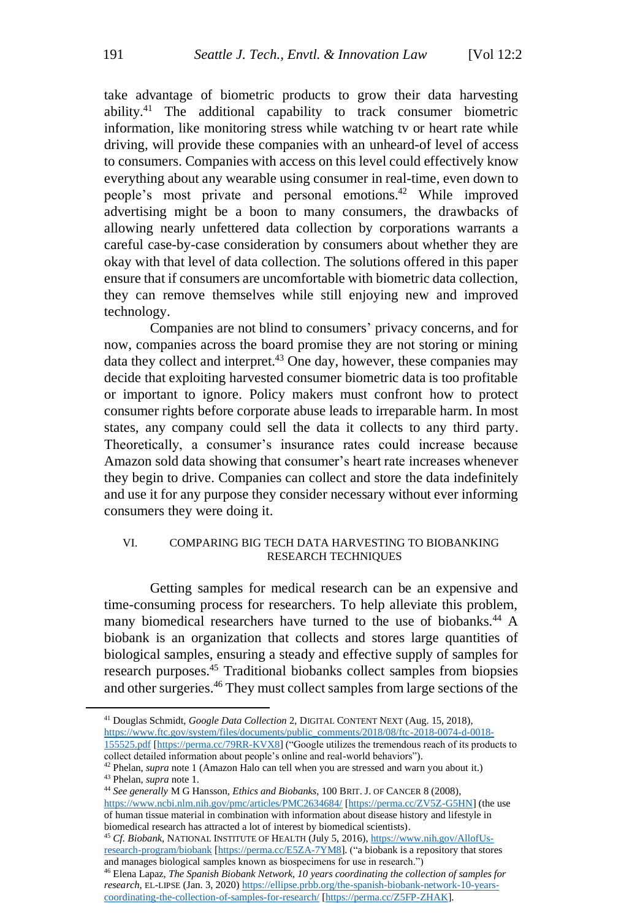take advantage of biometric products to grow their data harvesting ability.<sup>41</sup> The additional capability to track consumer biometric information, like monitoring stress while watching tv or heart rate while driving, will provide these companies with an unheard-of level of access to consumers. Companies with access on this level could effectively know everything about any wearable using consumer in real-time, even down to people's most private and personal emotions. <sup>42</sup> While improved advertising might be a boon to many consumers, the drawbacks of allowing nearly unfettered data collection by corporations warrants a careful case-by-case consideration by consumers about whether they are okay with that level of data collection. The solutions offered in this paper ensure that if consumers are uncomfortable with biometric data collection, they can remove themselves while still enjoying new and improved technology.

Companies are not blind to consumers' privacy concerns, and for now, companies across the board promise they are not storing or mining data they collect and interpret.<sup>43</sup> One day, however, these companies may decide that exploiting harvested consumer biometric data is too profitable or important to ignore. Policy makers must confront how to protect consumer rights before corporate abuse leads to irreparable harm. In most states, any company could sell the data it collects to any third party. Theoretically, a consumer's insurance rates could increase because Amazon sold data showing that consumer's heart rate increases whenever they begin to drive. Companies can collect and store the data indefinitely and use it for any purpose they consider necessary without ever informing consumers they were doing it.

#### VI. COMPARING BIG TECH DATA HARVESTING TO BIOBANKING RESEARCH TECHNIQUES

Getting samples for medical research can be an expensive and time-consuming process for researchers. To help alleviate this problem, many biomedical researchers have turned to the use of biobanks.<sup>44</sup> A biobank is an organization that collects and stores large quantities of biological samples, ensuring a steady and effective supply of samples for research purposes.<sup>45</sup> Traditional biobanks collect samples from biopsies and other surgeries.<sup>46</sup> They must collect samples from large sections of the

<sup>44</sup> *See generally* M G Hansson, *Ethics and Biobanks*, 100 BRIT. J. OF CANCER 8 (2008), <https://www.ncbi.nlm.nih.gov/pmc/articles/PMC2634684/> [\[https://perma.cc/ZV5Z-G5HN\]](https://perma.cc/ZV5Z-G5HN) (the use of human tissue material in combination with information about disease history and lifestyle in biomedical research has attracted a lot of interest by biomedical scientists).

<sup>45</sup> *Cf. Biobank*, NATIONAL INSTITUTE OF HEALTH (July 5, 2016), [https://www.nih.gov/AllofUs](https://www.nih.gov/AllofUs-research-program/biobank)[research-program/biobank](https://www.nih.gov/AllofUs-research-program/biobank) [\[https://perma.cc/E5ZA-7YM8\]](https://perma.cc/E5ZA-7YM8). ("a biobank is a repository that stores and manages biological samples known as biospecimens for use in research.")

<sup>46</sup> Elena Lapaz, *The Spanish Biobank Network, 10 years coordinating the collection of samples for research*, EL-LIPSE (Jan. 3, 2020[\) https://ellipse.prbb.org/the-spanish-biobank-network-10-years](https://ellipse.prbb.org/the-spanish-biobank-network-10-years-coordinating-the-collection-of-samples-for-research/)[coordinating-the-collection-of-samples-for-research/](https://ellipse.prbb.org/the-spanish-biobank-network-10-years-coordinating-the-collection-of-samples-for-research/) [\[https://perma.cc/Z5FP-ZHAK\]](https://perma.cc/Z5FP-ZHAK).

<sup>41</sup> Douglas Schmidt, *Google Data Collection* 2, DIGITAL CONTENT NEXT (Aug. 15, 2018), [https://www.ftc.gov/system/files/documents/public\\_comments/2018/08/ftc-2018-0074-d-0018-](https://www.ftc.gov/system/files/documents/public_comments/2018/08/ftc-2018-0074-d-0018-155525.pdf) [155525.pdf](https://www.ftc.gov/system/files/documents/public_comments/2018/08/ftc-2018-0074-d-0018-155525.pdf) [\[https://perma.cc/79RR-KVX8\]](https://perma.cc/79RR-KVX8) ("Google utilizes the tremendous reach of its products to collect detailed information about people's online and real-world behaviors").

<sup>42</sup> Phelan, *supra* note 1 (Amazon Halo can tell when you are stressed and warn you about it.)

<sup>43</sup> Phelan, *supra* note 1.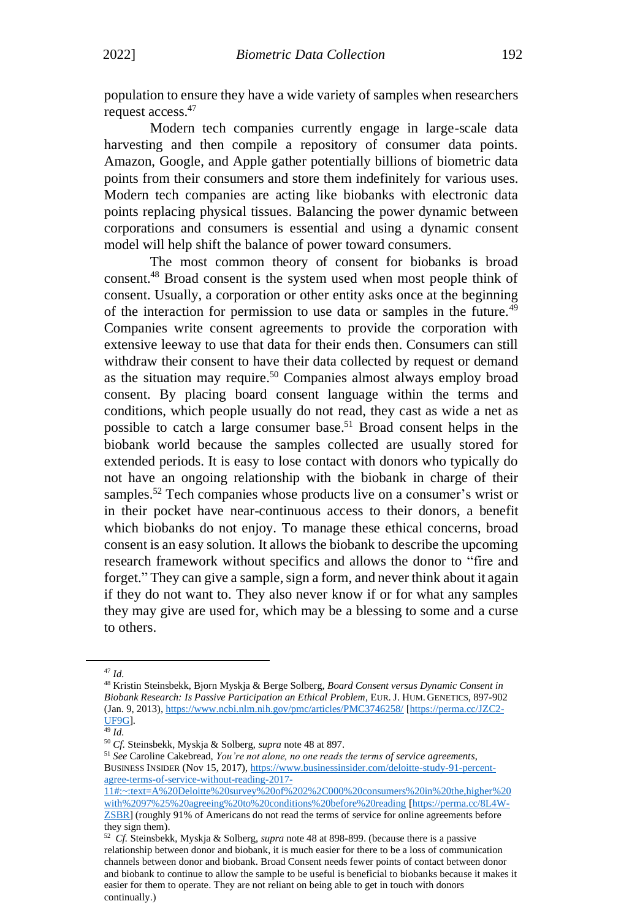population to ensure they have a wide variety of samples when researchers request access.<sup>47</sup>

Modern tech companies currently engage in large-scale data harvesting and then compile a repository of consumer data points. Amazon, Google, and Apple gather potentially billions of biometric data points from their consumers and store them indefinitely for various uses. Modern tech companies are acting like biobanks with electronic data points replacing physical tissues. Balancing the power dynamic between corporations and consumers is essential and using a dynamic consent model will help shift the balance of power toward consumers.

The most common theory of consent for biobanks is broad consent.<sup>48</sup> Broad consent is the system used when most people think of consent. Usually, a corporation or other entity asks once at the beginning of the interaction for permission to use data or samples in the future.<sup>49</sup> Companies write consent agreements to provide the corporation with extensive leeway to use that data for their ends then. Consumers can still withdraw their consent to have their data collected by request or demand as the situation may require.<sup>50</sup> Companies almost always employ broad consent. By placing board consent language within the terms and conditions, which people usually do not read, they cast as wide a net as possible to catch a large consumer base. <sup>51</sup> Broad consent helps in the biobank world because the samples collected are usually stored for extended periods. It is easy to lose contact with donors who typically do not have an ongoing relationship with the biobank in charge of their samples.<sup>52</sup> Tech companies whose products live on a consumer's wrist or in their pocket have near-continuous access to their donors, a benefit which biobanks do not enjoy. To manage these ethical concerns, broad consent is an easy solution. It allows the biobank to describe the upcoming research framework without specifics and allows the donor to "fire and forget." They can give a sample, sign a form, and never think about it again if they do not want to. They also never know if or for what any samples they may give are used for, which may be a blessing to some and a curse to others.

<sup>47</sup> *Id.*

<sup>48</sup> Kristin Steinsbekk, Bjorn Myskja & Berge Solberg, *Board Consent versus Dynamic Consent in Biobank Research: Is Passive Participation an Ethical Problem*, EUR. J. HUM. GENETICS, 897-902 (Jan. 9, 2013), <https://www.ncbi.nlm.nih.gov/pmc/articles/PMC3746258/> [\[https://perma.cc/JZC2-](https://perma.cc/JZC2-UF9G) [UF9G\]](https://perma.cc/JZC2-UF9G).

<sup>49</sup> *Id.*

<sup>50</sup> *Cf.* Steinsbekk, Myskja & Solberg, *supra* note 48 at 897.

<sup>51</sup> *See* Caroline Cakebread, *You're not alone, no one reads the terms of service agreements*, BUSINESS INSIDER (Nov 15, 2017), [https://www.businessinsider.com/deloitte-study-91-percent](https://www.businessinsider.com/deloitte-study-91-percent-agree-terms-of-service-without-reading-2017-11#:~:text=A%20Deloitte%20survey%20of%202%2C000%20consumers%20in%20the,higher%20with%2097%25%20agreeing%20to%20conditions%20before%20reading)[agree-terms-of-service-without-reading-2017-](https://www.businessinsider.com/deloitte-study-91-percent-agree-terms-of-service-without-reading-2017-11#:~:text=A%20Deloitte%20survey%20of%202%2C000%20consumers%20in%20the,higher%20with%2097%25%20agreeing%20to%20conditions%20before%20reading)

[<sup>11#:~:</sup>text=A%20Deloitte%20survey%20of%202%2C000%20consumers%20in%20the,higher%20](https://www.businessinsider.com/deloitte-study-91-percent-agree-terms-of-service-without-reading-2017-11#:~:text=A%20Deloitte%20survey%20of%202%2C000%20consumers%20in%20the,higher%20with%2097%25%20agreeing%20to%20conditions%20before%20reading) [with%2097%25%20agreeing%20to%20conditions%20before%20reading](https://www.businessinsider.com/deloitte-study-91-percent-agree-terms-of-service-without-reading-2017-11#:~:text=A%20Deloitte%20survey%20of%202%2C000%20consumers%20in%20the,higher%20with%2097%25%20agreeing%20to%20conditions%20before%20reading) [\[https://perma.cc/8L4W-](https://perma.cc/8L4W-ZSBR)[ZSBR\]](https://perma.cc/8L4W-ZSBR) (roughly 91% of Americans do not read the terms of service for online agreements before they sign them).

<sup>52</sup> *Cf.* Steinsbekk, Myskja & Solberg, *supra* note 48 at 898-899. (because there is a passive relationship between donor and biobank, it is much easier for there to be a loss of communication channels between donor and biobank. Broad Consent needs fewer points of contact between donor and biobank to continue to allow the sample to be useful is beneficial to biobanks because it makes it easier for them to operate. They are not reliant on being able to get in touch with donors continually.)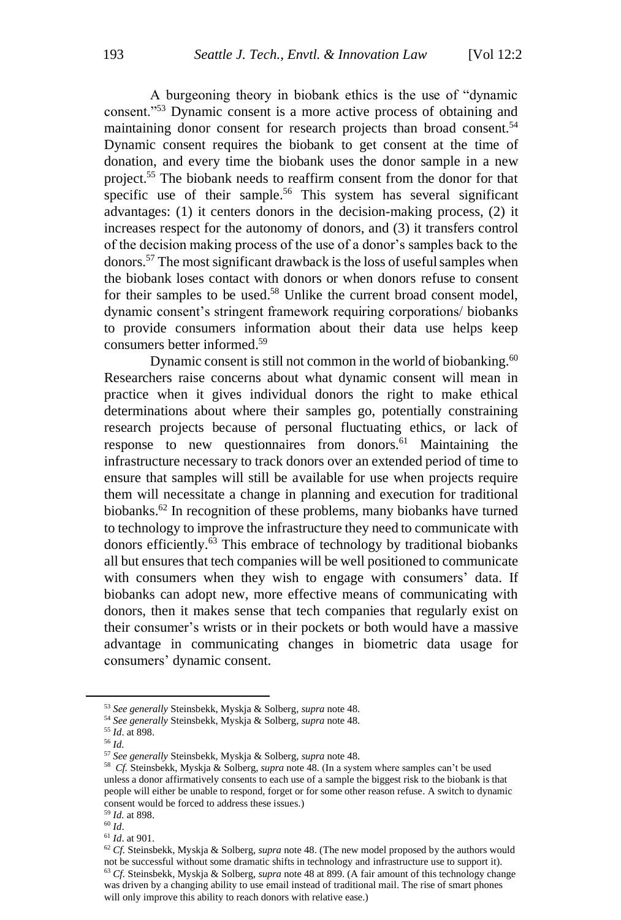A burgeoning theory in biobank ethics is the use of "dynamic consent."<sup>53</sup> Dynamic consent is a more active process of obtaining and maintaining donor consent for research projects than broad consent.<sup>54</sup> Dynamic consent requires the biobank to get consent at the time of donation, and every time the biobank uses the donor sample in a new project.<sup>55</sup> The biobank needs to reaffirm consent from the donor for that specific use of their sample.<sup>56</sup> This system has several significant advantages: (1) it centers donors in the decision-making process, (2) it increases respect for the autonomy of donors, and (3) it transfers control of the decision making process of the use of a donor's samples back to the donors.<sup>57</sup> The most significant drawback is the loss of useful samples when the biobank loses contact with donors or when donors refuse to consent for their samples to be used.<sup>58</sup> Unlike the current broad consent model, dynamic consent's stringent framework requiring corporations/ biobanks to provide consumers information about their data use helps keep consumers better informed. 59

Dynamic consent is still not common in the world of biobanking. $60$ Researchers raise concerns about what dynamic consent will mean in practice when it gives individual donors the right to make ethical determinations about where their samples go, potentially constraining research projects because of personal fluctuating ethics, or lack of response to new questionnaires from donors.<sup>61</sup> Maintaining the infrastructure necessary to track donors over an extended period of time to ensure that samples will still be available for use when projects require them will necessitate a change in planning and execution for traditional biobanks. <sup>62</sup> In recognition of these problems, many biobanks have turned to technology to improve the infrastructure they need to communicate with donors efficiently.<sup>63</sup> This embrace of technology by traditional biobanks all but ensures that tech companies will be well positioned to communicate with consumers when they wish to engage with consumers' data. If biobanks can adopt new, more effective means of communicating with donors, then it makes sense that tech companies that regularly exist on their consumer's wrists or in their pockets or both would have a massive advantage in communicating changes in biometric data usage for consumers' dynamic consent.

<sup>53</sup> *See generally* Steinsbekk, Myskja & Solberg, *supra* note 48.

<sup>54</sup> *See generally* Steinsbekk, Myskja & Solberg, *supra* note 48.

<sup>55</sup> *Id*. at 898.

<sup>56</sup> *Id.*

<sup>57</sup> *See generally* Steinsbekk, Myskja & Solberg, *supra* note 48.

<sup>58</sup> *Cf.* Steinsbekk, Myskja & Solberg, *supra* note 48. (In a system where samples can't be used unless a donor affirmatively consents to each use of a sample the biggest risk to the biobank is that people will either be unable to respond, forget or for some other reason refuse. A switch to dynamic consent would be forced to address these issues.)

<sup>59</sup> *Id.* at 898. <sup>60</sup> *Id*.

<sup>61</sup> *Id*. at 901.

<sup>62</sup> *Cf.* Steinsbekk, Myskja & Solberg, *supra* note 48. (The new model proposed by the authors would not be successful without some dramatic shifts in technology and infrastructure use to support it). <sup>63</sup> *Cf.* Steinsbekk, Myskja & Solberg, *supra* note 48 at 899. (A fair amount of this technology change was driven by a changing ability to use email instead of traditional mail. The rise of smart phones will only improve this ability to reach donors with relative ease.)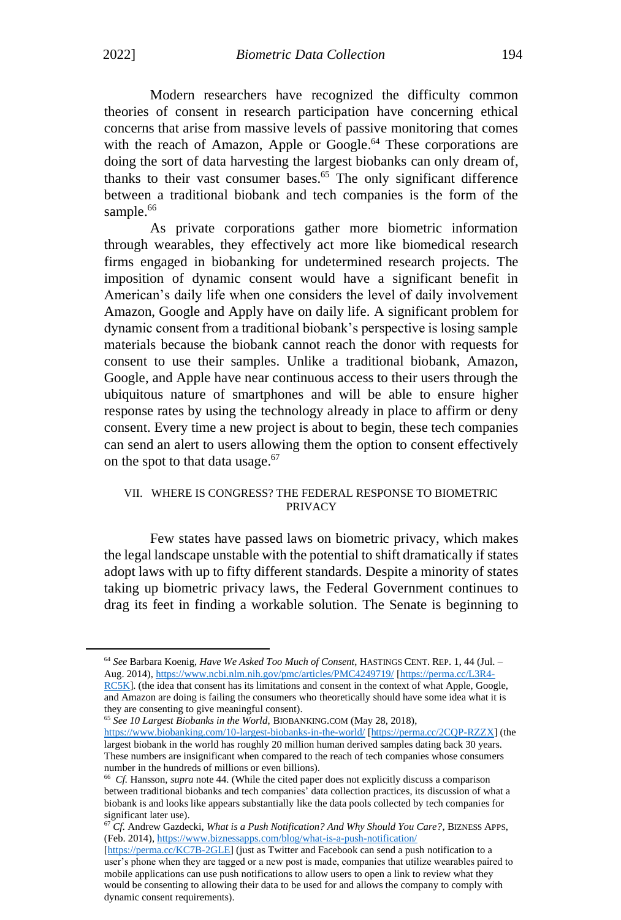Modern researchers have recognized the difficulty common theories of consent in research participation have concerning ethical concerns that arise from massive levels of passive monitoring that comes with the reach of Amazon, Apple or Google.<sup>64</sup> These corporations are doing the sort of data harvesting the largest biobanks can only dream of, thanks to their vast consumer bases.<sup>65</sup> The only significant difference between a traditional biobank and tech companies is the form of the sample.<sup>66</sup>

As private corporations gather more biometric information through wearables, they effectively act more like biomedical research firms engaged in biobanking for undetermined research projects. The imposition of dynamic consent would have a significant benefit in American's daily life when one considers the level of daily involvement Amazon, Google and Apply have on daily life. A significant problem for dynamic consent from a traditional biobank's perspective is losing sample materials because the biobank cannot reach the donor with requests for consent to use their samples. Unlike a traditional biobank, Amazon, Google, and Apple have near continuous access to their users through the ubiquitous nature of smartphones and will be able to ensure higher response rates by using the technology already in place to affirm or deny consent. Every time a new project is about to begin, these tech companies can send an alert to users allowing them the option to consent effectively on the spot to that data usage.<sup>67</sup>

#### VII. WHERE IS CONGRESS? THE FEDERAL RESPONSE TO BIOMETRIC **PRIVACY**

Few states have passed laws on biometric privacy, which makes the legal landscape unstable with the potential to shift dramatically if states adopt laws with up to fifty different standards. Despite a minority of states taking up biometric privacy laws, the Federal Government continues to drag its feet in finding a workable solution. The Senate is beginning to

<sup>65</sup> *See 10 Largest Biobanks in the World*, BIOBANKING.COM (May 28, 2018), <https://www.biobanking.com/10-largest-biobanks-in-the-world/> [\[https://perma.cc/2CQP-RZZX\]](https://perma.cc/2CQP-RZZX) (the largest biobank in the world has roughly 20 million human derived samples dating back 30 years. These numbers are insignificant when compared to the reach of tech companies whose consumers number in the hundreds of millions or even billions).

<sup>64</sup> *See* Barbara Koenig, *Have We Asked Too Much of Consent*, HASTINGS CENT. REP. 1, 44 (Jul. – Aug. 2014), <https://www.ncbi.nlm.nih.gov/pmc/articles/PMC4249719/> [\[https://perma.cc/L3R4-](https://perma.cc/L3R4-RC5K) [RC5K\]](https://perma.cc/L3R4-RC5K). (the idea that consent has its limitations and consent in the context of what Apple, Google, and Amazon are doing is failing the consumers who theoretically should have some idea what it is they are consenting to give meaningful consent).

<sup>66</sup> *Cf.* Hansson, *supra* note 44. (While the cited paper does not explicitly discuss a comparison between traditional biobanks and tech companies' data collection practices, its discussion of what a biobank is and looks like appears substantially like the data pools collected by tech companies for significant later use).

<sup>67</sup> *Cf.* Andrew Gazdecki, *What is a Push Notification? And Why Should You Care?*, BIZNESS APPS, (Feb. 2014), <https://www.biznessapps.com/blog/what-is-a-push-notification/>

[<sup>\[</sup>https://perma.cc/KC7B-2GLE\]](https://perma.cc/KC7B-2GLE) (just as Twitter and Facebook can send a push notification to a user's phone when they are tagged or a new post is made, companies that utilize wearables paired to mobile applications can use push notifications to allow users to open a link to review what they would be consenting to allowing their data to be used for and allows the company to comply with dynamic consent requirements).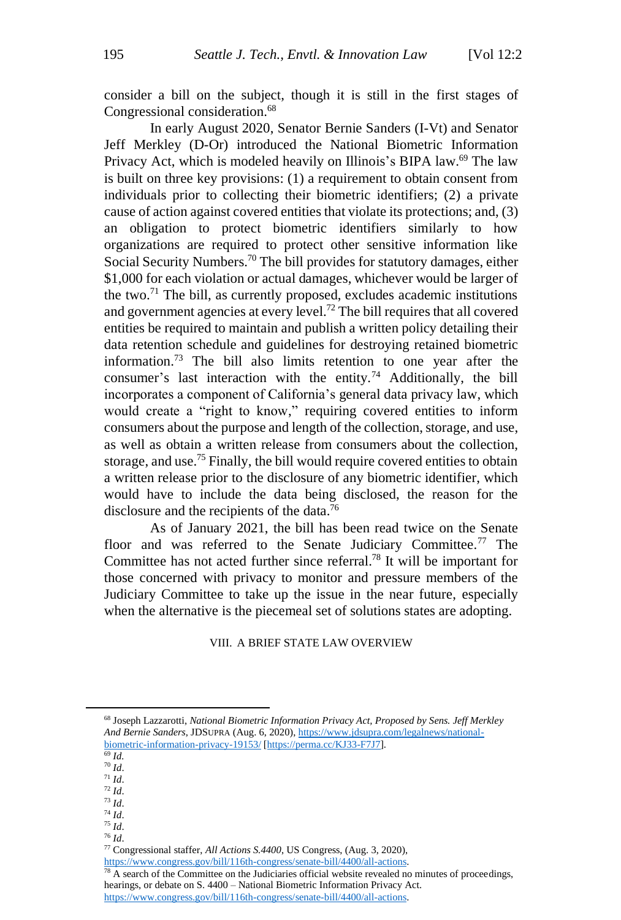consider a bill on the subject, though it is still in the first stages of Congressional consideration.<sup>68</sup>

In early August 2020, Senator Bernie Sanders (I-Vt) and Senator Jeff Merkley (D-Or) introduced the National Biometric Information Privacy Act, which is modeled heavily on Illinois's BIPA law.<sup>69</sup> The law is built on three key provisions: (1) a requirement to obtain consent from individuals prior to collecting their biometric identifiers; (2) a private cause of action against covered entities that violate its protections; and, (3) an obligation to protect biometric identifiers similarly to how organizations are required to protect other sensitive information like Social Security Numbers.<sup>70</sup> The bill provides for statutory damages, either \$1,000 for each violation or actual damages, whichever would be larger of the two.<sup>71</sup> The bill, as currently proposed, excludes academic institutions and government agencies at every level.<sup>72</sup> The bill requires that all covered entities be required to maintain and publish a written policy detailing their data retention schedule and guidelines for destroying retained biometric information. <sup>73</sup> The bill also limits retention to one year after the consumer's last interaction with the entity.<sup>74</sup> Additionally, the bill incorporates a component of California's general data privacy law, which would create a "right to know," requiring covered entities to inform consumers about the purpose and length of the collection, storage, and use, as well as obtain a written release from consumers about the collection, storage, and use.<sup>75</sup> Finally, the bill would require covered entities to obtain a written release prior to the disclosure of any biometric identifier, which would have to include the data being disclosed, the reason for the disclosure and the recipients of the data.<sup>76</sup>

As of January 2021, the bill has been read twice on the Senate floor and was referred to the Senate Judiciary Committee.<sup>77</sup> The Committee has not acted further since referral. <sup>78</sup> It will be important for those concerned with privacy to monitor and pressure members of the Judiciary Committee to take up the issue in the near future, especially when the alternative is the piecemeal set of solutions states are adopting.

#### VIII. A BRIEF STATE LAW OVERVIEW

- <sup>70</sup> *Id*. <sup>71</sup> *Id*.
- <sup>72</sup> *Id*.
- <sup>73</sup> *Id*.
- <sup>74</sup> *Id*.
- <sup>75</sup> *Id*.
- <sup>76</sup> *Id*.

 $78$  A search of the Committee on the Judiciaries official website revealed no minutes of proceedings, hearings, or debate on S. 4400 – National Biometric Information Privacy Act.

<sup>68</sup> Joseph Lazzarotti, *National Biometric Information Privacy Act, Proposed by Sens. Jeff Merkley And Bernie Sanders*, JDSUPRA (Aug. 6, 2020), [https://www.jdsupra.com/legalnews/national](https://www.jdsupra.com/legalnews/national-biometric-information-privacy-19153/)[biometric-information-privacy-19153/](https://www.jdsupra.com/legalnews/national-biometric-information-privacy-19153/) [\[https://perma.cc/KJ33-F7J7\]](https://perma.cc/KJ33-F7J7).

<sup>69</sup> *Id.*

<sup>77</sup> Congressional staffer, *All Actions S.4400*, US Congress, (Aug. 3, 2020),

[https://www.congress.gov/bill/116th-congress/senate-bill/4400/all-actions.](https://www.congress.gov/bill/116th-congress/senate-bill/4400/all-actions)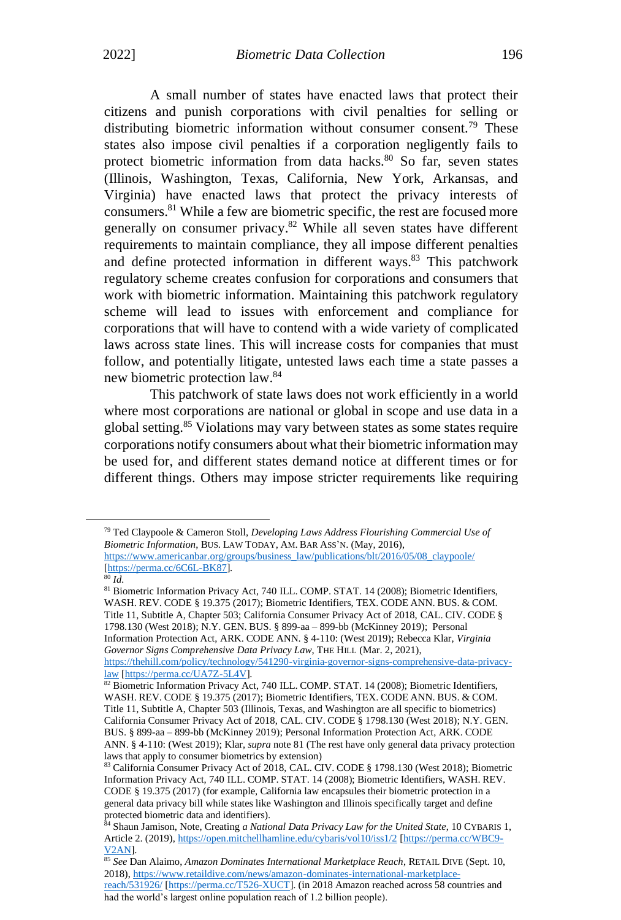A small number of states have enacted laws that protect their citizens and punish corporations with civil penalties for selling or distributing biometric information without consumer consent.<sup>79</sup> These states also impose civil penalties if a corporation negligently fails to protect biometric information from data hacks.<sup>80</sup> So far, seven states (Illinois, Washington, Texas, California, New York, Arkansas, and Virginia) have enacted laws that protect the privacy interests of consumers.<sup>81</sup> While a few are biometric specific, the rest are focused more generally on consumer privacy.<sup>82</sup> While all seven states have different requirements to maintain compliance, they all impose different penalties and define protected information in different ways.<sup>83</sup> This patchwork regulatory scheme creates confusion for corporations and consumers that work with biometric information. Maintaining this patchwork regulatory scheme will lead to issues with enforcement and compliance for corporations that will have to contend with a wide variety of complicated laws across state lines. This will increase costs for companies that must follow, and potentially litigate, untested laws each time a state passes a new biometric protection law.<sup>84</sup>

This patchwork of state laws does not work efficiently in a world where most corporations are national or global in scope and use data in a global setting.<sup>85</sup> Violations may vary between states as some states require corporations notify consumers about what their biometric information may be used for, and different states demand notice at different times or for different things. Others may impose stricter requirements like requiring

<sup>79</sup> Ted Claypoole & Cameron Stoll, *Developing Laws Address Flourishing Commercial Use of Biometric Information*, BUS. LAW TODAY, AM. BAR ASS'N. (May, 2016), [https://www.americanbar.org/groups/business\\_law/publications/blt/2016/05/08\\_claypoole/](https://www.americanbar.org/groups/business_law/publications/blt/2016/05/08_claypoole/) [\[https://perma.cc/6C6L-BK87\]](https://perma.cc/6C6L-BK87).

<sup>80</sup> *Id.*

<sup>81</sup> Biometric Information Privacy Act, 740 ILL. COMP. STAT. 14 (2008); Biometric Identifiers, WASH. REV. CODE § 19.375 (2017); Biometric Identifiers, TEX. CODE ANN. BUS. & COM. Title 11, Subtitle A, Chapter 503; California Consumer Privacy Act of 2018, CAL. CIV. CODE § 1798.130 (West 2018); N.Y. GEN. BUS. § 899-aa – 899-bb (McKinney 2019); Personal Information Protection Act, ARK. CODE ANN. § 4-110: (West 2019); Rebecca Klar, *Virginia Governor Signs Comprehensive Data Privacy Law*, THE HILL (Mar. 2, 2021), [https://thehill.com/policy/technology/541290-virginia-governor-signs-comprehensive-data-privacy](https://thehill.com/policy/technology/541290-virginia-governor-signs-comprehensive-data-privacy-law)[law](https://thehill.com/policy/technology/541290-virginia-governor-signs-comprehensive-data-privacy-law) [\[https://perma.cc/UA7Z-5L4V\]](https://perma.cc/UA7Z-5L4V).

<sup>&</sup>lt;sup>82</sup> Biometric Information Privacy Act, 740 ILL. COMP. STAT. 14 (2008); Biometric Identifiers, WASH. REV. CODE § 19.375 (2017); Biometric Identifiers, TEX. CODE ANN. BUS. & COM. Title 11, Subtitle A, Chapter 503 (Illinois, Texas, and Washington are all specific to biometrics) California Consumer Privacy Act of 2018, CAL. CIV. CODE § 1798.130 (West 2018); N.Y. GEN. BUS. § 899-aa – 899-bb (McKinney 2019); Personal Information Protection Act, ARK. CODE ANN. § 4-110: (West 2019); Klar, *supra* note 81 (The rest have only general data privacy protection laws that apply to consumer biometrics by extension)

<sup>83</sup> California Consumer Privacy Act of 2018, CAL. CIV. CODE § 1798.130 (West 2018); Biometric Information Privacy Act, 740 ILL. COMP. STAT. 14 (2008); Biometric Identifiers, WASH. REV. CODE § 19.375 (2017) (for example, California law encapsules their biometric protection in a general data privacy bill while states like Washington and Illinois specifically target and define protected biometric data and identifiers).

<sup>84</sup> Shaun Jamison, Note, Creating *a National Data Privacy Law for the United State*, 10 CYBARIS 1, Article 2. (2019), <https://open.mitchellhamline.edu/cybaris/vol10/iss1/2> [\[https://perma.cc/WBC9-](https://perma.cc/WBC9-V2AN) [V2AN\]](https://perma.cc/WBC9-V2AN).

<sup>85</sup> *See* Dan Alaimo, *Amazon Dominates International Marketplace Reach*, RETAIL DIVE (Sept. 10, 2018), [https://www.retaildive.com/news/amazon-dominates-international-marketplace](https://www.retaildive.com/news/amazon-dominates-international-marketplace-reach/531926/)[reach/531926/](https://www.retaildive.com/news/amazon-dominates-international-marketplace-reach/531926/) [\[https://perma.cc/T526-XUCT\]](https://perma.cc/T526-XUCT). (in 2018 Amazon reached across 58 countries and had the world's largest online population reach of 1.2 billion people).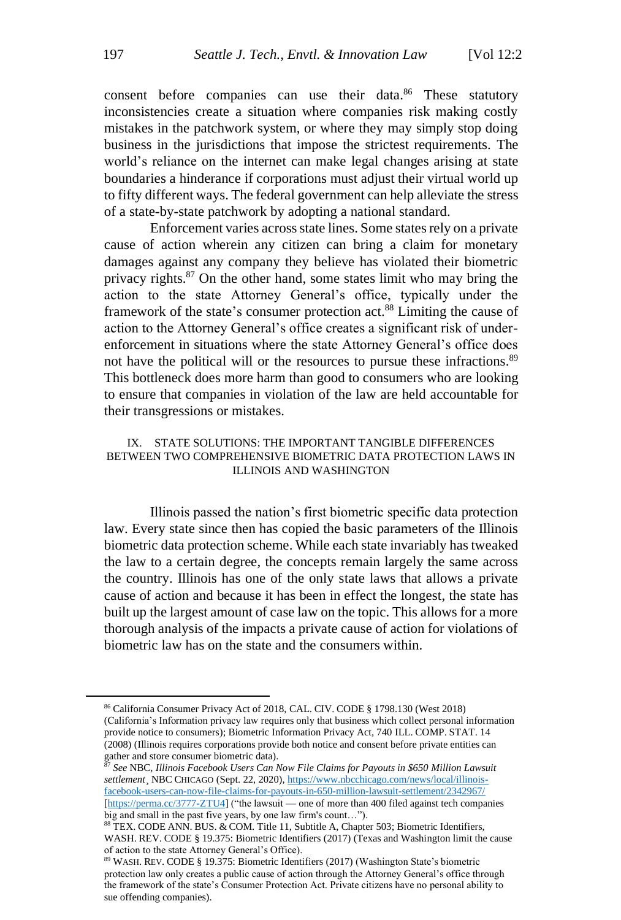consent before companies can use their data.<sup>86</sup> These statutory inconsistencies create a situation where companies risk making costly mistakes in the patchwork system, or where they may simply stop doing business in the jurisdictions that impose the strictest requirements. The world's reliance on the internet can make legal changes arising at state boundaries a hinderance if corporations must adjust their virtual world up to fifty different ways. The federal government can help alleviate the stress of a state-by-state patchwork by adopting a national standard.

Enforcement varies across state lines. Some states rely on a private cause of action wherein any citizen can bring a claim for monetary damages against any company they believe has violated their biometric privacy rights.<sup>87</sup> On the other hand, some states limit who may bring the action to the state Attorney General's office, typically under the framework of the state's consumer protection act.<sup>88</sup> Limiting the cause of action to the Attorney General's office creates a significant risk of underenforcement in situations where the state Attorney General's office does not have the political will or the resources to pursue these infractions.<sup>89</sup> This bottleneck does more harm than good to consumers who are looking to ensure that companies in violation of the law are held accountable for their transgressions or mistakes.

#### IX. STATE SOLUTIONS: THE IMPORTANT TANGIBLE DIFFERENCES BETWEEN TWO COMPREHENSIVE BIOMETRIC DATA PROTECTION LAWS IN ILLINOIS AND WASHINGTON

Illinois passed the nation's first biometric specific data protection law. Every state since then has copied the basic parameters of the Illinois biometric data protection scheme. While each state invariably has tweaked the law to a certain degree, the concepts remain largely the same across the country. Illinois has one of the only state laws that allows a private cause of action and because it has been in effect the longest, the state has built up the largest amount of case law on the topic. This allows for a more thorough analysis of the impacts a private cause of action for violations of biometric law has on the state and the consumers within.

<sup>86</sup> California Consumer Privacy Act of 2018, CAL. CIV. CODE § 1798.130 (West 2018) (California's Information privacy law requires only that business which collect personal information provide notice to consumers); Biometric Information Privacy Act, 740 ILL. COMP. STAT. 14 (2008) (Illinois requires corporations provide both notice and consent before private entities can gather and store consumer biometric data).

<sup>87</sup> *See* NBC, *Illinois Facebook Users Can Now File Claims for Payouts in \$650 Million Lawsuit settlement*¸ NBC CHICAGO (Sept. 22, 2020), [https://www.nbcchicago.com/news/local/illinois](https://www.nbcchicago.com/news/local/illinois-facebook-users-can-now-file-claims-for-payouts-in-650-million-lawsuit-settlement/2342967/)[facebook-users-can-now-file-claims-for-payouts-in-650-million-lawsuit-settlement/2342967/](https://www.nbcchicago.com/news/local/illinois-facebook-users-can-now-file-claims-for-payouts-in-650-million-lawsuit-settlement/2342967/) [\[https://perma.cc/3777-ZTU4\]](https://perma.cc/3777-ZTU4) ("the lawsuit — one of more than 400 filed against tech companies

big and small in the past five years, by one law firm's count…"). <sup>88</sup> TEX. CODE ANN. BUS. & COM. Title 11, Subtitle A, Chapter 503; Biometric Identifiers,

WASH. REV. CODE § 19.375: Biometric Identifiers (2017) (Texas and Washington limit the cause of action to the state Attorney General's Office).

<sup>89</sup> WASH. REV. CODE § 19.375: Biometric Identifiers (2017) (Washington State's biometric protection law only creates a public cause of action through the Attorney General's office through the framework of the state's Consumer Protection Act. Private citizens have no personal ability to sue offending companies).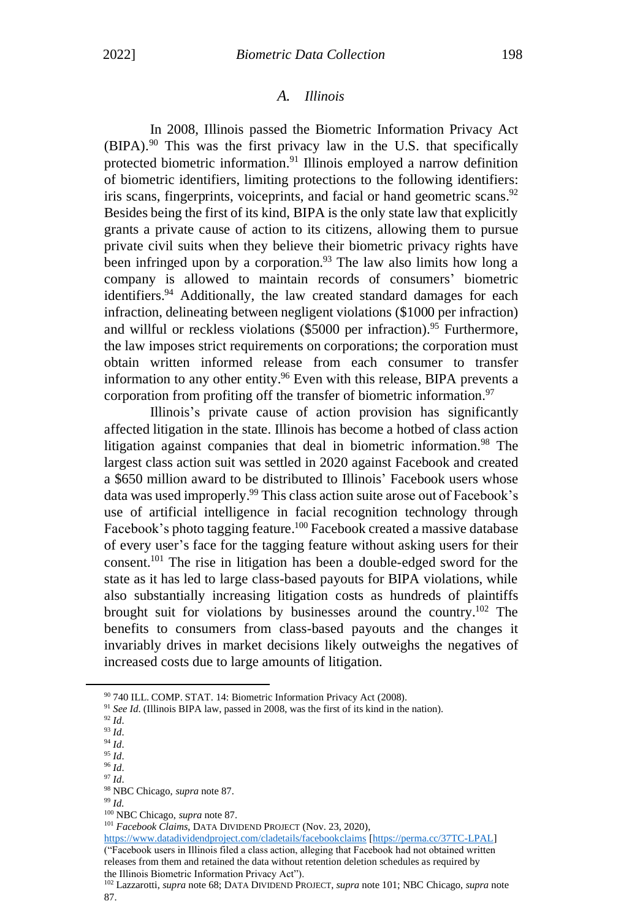#### *A. Illinois*

In 2008, Illinois passed the Biometric Information Privacy Act (BIPA). <sup>90</sup> This was the first privacy law in the U.S. that specifically protected biometric information.<sup>91</sup> Illinois employed a narrow definition of biometric identifiers, limiting protections to the following identifiers: iris scans, fingerprints, voiceprints, and facial or hand geometric scans.<sup>92</sup> Besides being the first of its kind, BIPA is the only state law that explicitly grants a private cause of action to its citizens, allowing them to pursue private civil suits when they believe their biometric privacy rights have been infringed upon by a corporation.<sup>93</sup> The law also limits how long a company is allowed to maintain records of consumers' biometric identifiers.<sup>94</sup> Additionally, the law created standard damages for each infraction, delineating between negligent violations (\$1000 per infraction) and willful or reckless violations  $(\$5000$  per infraction).<sup>95</sup> Furthermore, the law imposes strict requirements on corporations; the corporation must obtain written informed release from each consumer to transfer information to any other entity. <sup>96</sup> Even with this release, BIPA prevents a corporation from profiting off the transfer of biometric information.<sup>97</sup>

Illinois's private cause of action provision has significantly affected litigation in the state. Illinois has become a hotbed of class action litigation against companies that deal in biometric information.<sup>98</sup> The largest class action suit was settled in 2020 against Facebook and created a \$650 million award to be distributed to Illinois' Facebook users whose data was used improperly. <sup>99</sup> This class action suite arose out of Facebook's use of artificial intelligence in facial recognition technology through Facebook's photo tagging feature.<sup>100</sup> Facebook created a massive database of every user's face for the tagging feature without asking users for their consent. <sup>101</sup> The rise in litigation has been a double-edged sword for the state as it has led to large class-based payouts for BIPA violations, while also substantially increasing litigation costs as hundreds of plaintiffs brought suit for violations by businesses around the country.<sup>102</sup> The benefits to consumers from class-based payouts and the changes it invariably drives in market decisions likely outweighs the negatives of increased costs due to large amounts of litigation.

<https://www.datadividendproject.com/cladetails/facebookclaims> [\[https://perma.cc/37TC-LPAL\]](https://perma.cc/37TC-LPAL) ("Facebook users in Illinois filed a class action, alleging that Facebook had not obtained written releases from them and retained the data without retention deletion schedules as required by the Illinois Biometric Information Privacy Act").

<sup>&</sup>lt;sup>90</sup> 740 ILL. COMP. STAT. 14: Biometric Information Privacy Act (2008).

<sup>&</sup>lt;sup>91</sup> See Id. (Illinois BIPA law, passed in 2008, was the first of its kind in the nation).

<sup>92</sup> *Id*.

<sup>93</sup> *Id*.

<sup>94</sup> *Id*. <sup>95</sup> *Id*.

<sup>96</sup> *Id*.

<sup>97</sup> *Id*.

<sup>98</sup> NBC Chicago, *supra* note 87.

<sup>99</sup> *Id.*

<sup>100</sup> NBC Chicago, *supra* note 87.

<sup>&</sup>lt;sup>101</sup> *Facebook Claims*, DATA DIVIDEND PROJECT (Nov. 23, 2020),

<sup>102</sup> Lazzarotti, *supra* note 68; DATA DIVIDEND PROJECT, *supra* note 101; NBC Chicago, *supra* note 87.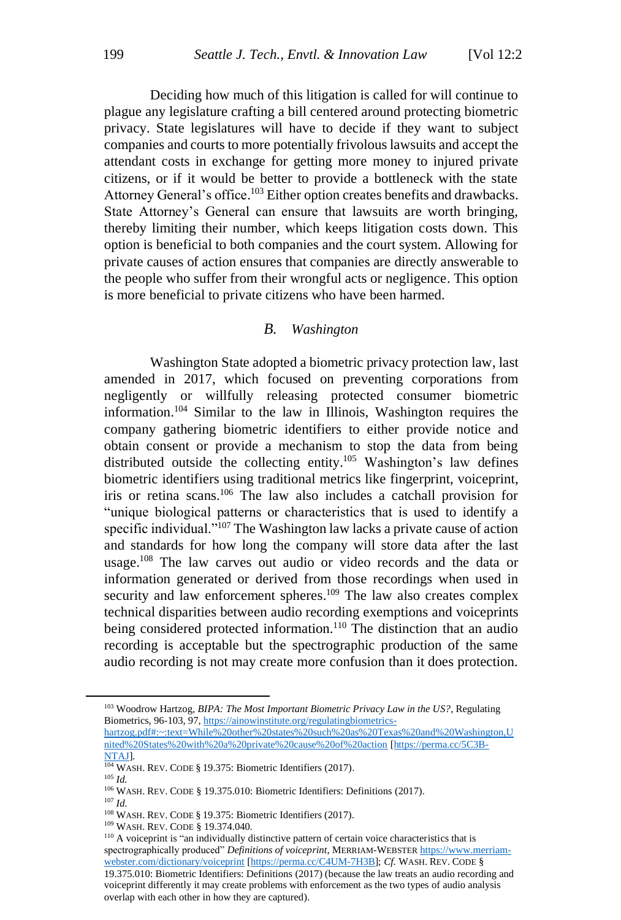Deciding how much of this litigation is called for will continue to plague any legislature crafting a bill centered around protecting biometric privacy. State legislatures will have to decide if they want to subject companies and courts to more potentially frivolous lawsuits and accept the attendant costs in exchange for getting more money to injured private citizens, or if it would be better to provide a bottleneck with the state Attorney General's office.<sup>103</sup> Either option creates benefits and drawbacks. State Attorney's General can ensure that lawsuits are worth bringing, thereby limiting their number, which keeps litigation costs down. This option is beneficial to both companies and the court system. Allowing for private causes of action ensures that companies are directly answerable to the people who suffer from their wrongful acts or negligence. This option is more beneficial to private citizens who have been harmed.

#### *B. Washington*

Washington State adopted a biometric privacy protection law, last amended in 2017, which focused on preventing corporations from negligently or willfully releasing protected consumer biometric information. <sup>104</sup> Similar to the law in Illinois, Washington requires the company gathering biometric identifiers to either provide notice and obtain consent or provide a mechanism to stop the data from being distributed outside the collecting entity.<sup>105</sup> Washington's law defines biometric identifiers using traditional metrics like fingerprint, voiceprint, iris or retina scans.<sup>106</sup> The law also includes a catchall provision for "unique biological patterns or characteristics that is used to identify a specific individual."<sup>107</sup> The Washington law lacks a private cause of action and standards for how long the company will store data after the last usage.<sup>108</sup> The law carves out audio or video records and the data or information generated or derived from those recordings when used in security and law enforcement spheres.<sup>109</sup> The law also creates complex technical disparities between audio recording exemptions and voiceprints being considered protected information.<sup>110</sup> The distinction that an audio recording is acceptable but the spectrographic production of the same audio recording is not may create more confusion than it does protection.

<sup>109</sup> WASH. REV. CODE § 19.374.040*.*

<sup>103</sup> Woodrow Hartzog, *BIPA: The Most Important Biometric Privacy Law in the US?*, Regulating Biometrics, 96-103, 97[, https://ainowinstitute.org/regulatingbiometrics-](https://ainowinstitute.org/regulatingbiometrics-hartzog.pdf#:~:text=While%20other%20states%20such%20as%20Texas%20and%20Washington,United%20States%20with%20a%20private%20cause%20of%20action)

[hartzog.pdf#:~:text=While%20other%20states%20such%20as%20Texas%20and%20Washington,U](https://ainowinstitute.org/regulatingbiometrics-hartzog.pdf#:~:text=While%20other%20states%20such%20as%20Texas%20and%20Washington,United%20States%20with%20a%20private%20cause%20of%20action) [nited%20States%20with%20a%20private%20cause%20of%20action](https://ainowinstitute.org/regulatingbiometrics-hartzog.pdf#:~:text=While%20other%20states%20such%20as%20Texas%20and%20Washington,United%20States%20with%20a%20private%20cause%20of%20action) [\[https://perma.cc/5C3B-](https://perma.cc/5C3B-NTAJ)[NTAJ\]](https://perma.cc/5C3B-NTAJ).

<sup>&</sup>lt;sup>104</sup> WASH. REV. CODE § 19.375: Biometric Identifiers (2017).

 $^{105}\,$   $ld.$ 

<sup>106</sup> WASH. REV. CODE § 19.375.010: Biometric Identifiers: Definitions (2017).

<sup>107</sup> *Id.*

<sup>108</sup> WASH. REV. CODE § 19.375: Biometric Identifiers (2017).

<sup>&</sup>lt;sup>110</sup> A voiceprint is "an individually distinctive pattern of certain voice characteristics that is spectrographically produced" *Definitions of voiceprint*, MERRIAM-WEBSTER [https://www.merriam](https://www.merriam-webster.com/dictionary/voiceprint)[webster.com/dictionary/voiceprint](https://www.merriam-webster.com/dictionary/voiceprint) [\[https://perma.cc/C4UM-7H3B\]](https://perma.cc/C4UM-7H3B); *Cf.* WASH. REV. CODE § 19.375.010: Biometric Identifiers: Definitions (2017) (because the law treats an audio recording and voiceprint differently it may create problems with enforcement as the two types of audio analysis overlap with each other in how they are captured).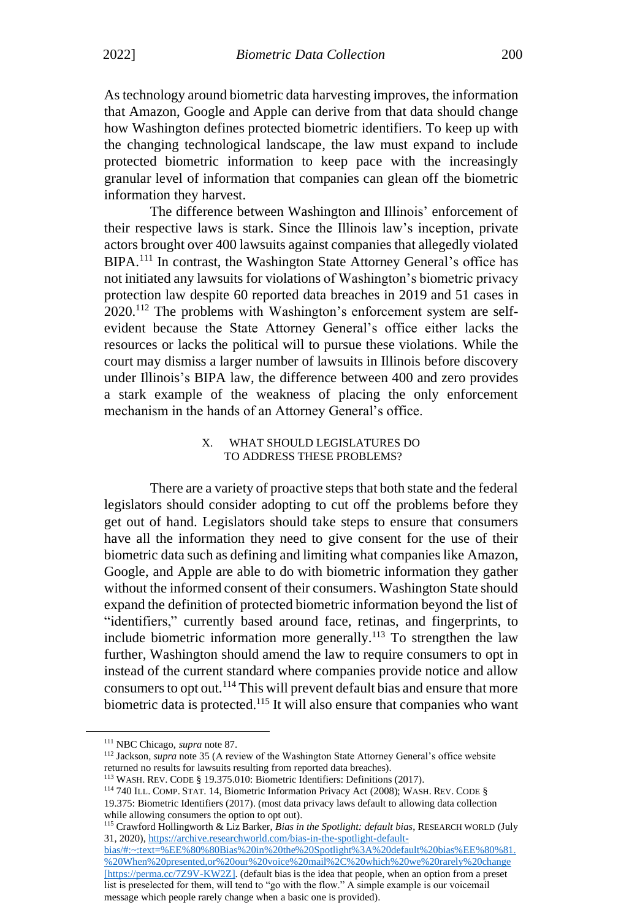As technology around biometric data harvesting improves, the information that Amazon, Google and Apple can derive from that data should change how Washington defines protected biometric identifiers. To keep up with the changing technological landscape, the law must expand to include protected biometric information to keep pace with the increasingly granular level of information that companies can glean off the biometric information they harvest.

The difference between Washington and Illinois' enforcement of their respective laws is stark. Since the Illinois law's inception, private actors brought over 400 lawsuits against companies that allegedly violated BIPA.<sup>111</sup> In contrast, the Washington State Attorney General's office has not initiated any lawsuits for violations of Washington's biometric privacy protection law despite 60 reported data breaches in 2019 and 51 cases in 2020.<sup>112</sup> The problems with Washington's enforcement system are selfevident because the State Attorney General's office either lacks the resources or lacks the political will to pursue these violations. While the court may dismiss a larger number of lawsuits in Illinois before discovery under Illinois's BIPA law, the difference between 400 and zero provides a stark example of the weakness of placing the only enforcement mechanism in the hands of an Attorney General's office.

#### X. WHAT SHOULD LEGISLATURES DO TO ADDRESS THESE PROBLEMS?

There are a variety of proactive steps that both state and the federal legislators should consider adopting to cut off the problems before they get out of hand. Legislators should take steps to ensure that consumers have all the information they need to give consent for the use of their biometric data such as defining and limiting what companies like Amazon, Google, and Apple are able to do with biometric information they gather without the informed consent of their consumers. Washington State should expand the definition of protected biometric information beyond the list of "identifiers," currently based around face, retinas, and fingerprints, to include biometric information more generally.<sup>113</sup> To strengthen the law further, Washington should amend the law to require consumers to opt in instead of the current standard where companies provide notice and allow consumers to opt out.<sup>114</sup> This will prevent default bias and ensure that more biometric data is protected.<sup>115</sup> It will also ensure that companies who want

[bias/#:~:text=%EE%80%80Bias%20in%20the%20Spotlight%3A%20default%20bias%EE%80%81.](https://archive.researchworld.com/bias-in-the-spotlight-default-bias/#:~:text=%EE%80%80Bias%20in%20the%20Spotlight%3A%20default%20bias%EE%80%81.%20When%20presented,or%20our%20voice%20mail%2C%20which%20we%20rarely%20change) [%20When%20presented,or%20our%20voice%20mail%2C%20which%20we%20rarely%20change](https://archive.researchworld.com/bias-in-the-spotlight-default-bias/#:~:text=%EE%80%80Bias%20in%20the%20Spotlight%3A%20default%20bias%EE%80%81.%20When%20presented,or%20our%20voice%20mail%2C%20which%20we%20rarely%20change) [https://perma.cc/7Z9V-KW2Z]. (default bias is the idea that people, when an option from a preset list is preselected for them, will tend to "go with the flow." A simple example is our voicemail message which people rarely change when a basic one is provided).

<sup>111</sup> NBC Chicago, *supra* note 87.

<sup>&</sup>lt;sup>112</sup> Jackson, *supra* note 35 (A review of the Washington State Attorney General's office website returned no results for lawsuits resulting from reported data breaches).

<sup>113</sup> WASH. REV. CODE § 19.375.010: Biometric Identifiers: Definitions (2017).

<sup>114</sup> 740 ILL. COMP. STAT. 14, Biometric Information Privacy Act (2008); WASH. REV. CODE § 19.375: Biometric Identifiers (2017). (most data privacy laws default to allowing data collection while allowing consumers the option to opt out).

<sup>115</sup> Crawford Hollingworth & Liz Barker, *Bias in the Spotlight: default bias*, RESEARCH WORLD (July 31, 2020)[, https://archive.researchworld.com/bias-in-the-spotlight-default-](https://archive.researchworld.com/bias-in-the-spotlight-default-bias/#:~:text=%EE%80%80Bias%20in%20the%20Spotlight%3A%20default%20bias%EE%80%81.%20When%20presented,or%20our%20voice%20mail%2C%20which%20we%20rarely%20change)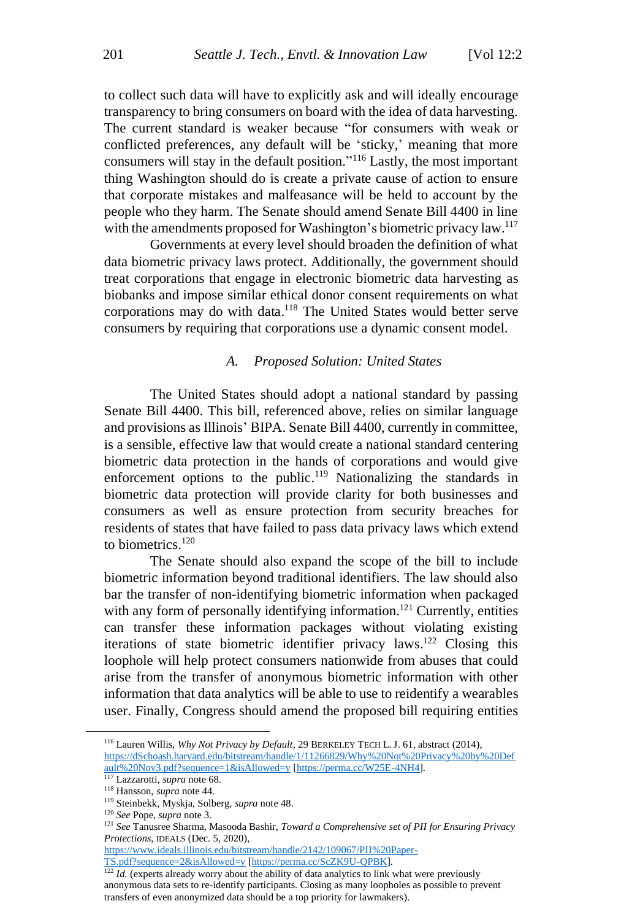to collect such data will have to explicitly ask and will ideally encourage transparency to bring consumers on board with the idea of data harvesting. The current standard is weaker because "for consumers with weak or conflicted preferences, any default will be 'sticky,' meaning that more consumers will stay in the default position." <sup>116</sup> Lastly, the most important thing Washington should do is create a private cause of action to ensure that corporate mistakes and malfeasance will be held to account by the people who they harm. The Senate should amend Senate Bill 4400 in line with the amendments proposed for Washington's biometric privacy law.<sup>117</sup>

Governments at every level should broaden the definition of what data biometric privacy laws protect. Additionally, the government should treat corporations that engage in electronic biometric data harvesting as biobanks and impose similar ethical donor consent requirements on what corporations may do with data. <sup>118</sup> The United States would better serve consumers by requiring that corporations use a dynamic consent model.

#### *A. Proposed Solution: United States*

The United States should adopt a national standard by passing Senate Bill 4400. This bill, referenced above, relies on similar language and provisions as Illinois' BIPA. Senate Bill 4400, currently in committee, is a sensible, effective law that would create a national standard centering biometric data protection in the hands of corporations and would give enforcement options to the public.<sup>119</sup> Nationalizing the standards in biometric data protection will provide clarity for both businesses and consumers as well as ensure protection from security breaches for residents of states that have failed to pass data privacy laws which extend to biometrics.<sup>120</sup>

The Senate should also expand the scope of the bill to include biometric information beyond traditional identifiers. The law should also bar the transfer of non-identifying biometric information when packaged with any form of personally identifying information.<sup>121</sup> Currently, entities can transfer these information packages without violating existing iterations of state biometric identifier privacy laws.<sup>122</sup> Closing this loophole will help protect consumers nationwide from abuses that could arise from the transfer of anonymous biometric information with other information that data analytics will be able to use to reidentify a wearables user. Finally, Congress should amend the proposed bill requiring entities

[https://www.ideals.illinois.edu/bitstream/handle/2142/109067/PII%20Paper-](https://www.ideals.illinois.edu/bitstream/handle/2142/109067/PII%20Paper-TS.pdf?sequence=2&isAllowed=y)[TS.pdf?sequence=2&isAllowed=y](https://www.ideals.illinois.edu/bitstream/handle/2142/109067/PII%20Paper-TS.pdf?sequence=2&isAllowed=y) [\[https://perma.cc/ScZK9U-QPBK\]](https://perma.cc/SceZK9U-QPBK).

<sup>122</sup> *Id.* (experts already worry about the ability of data analytics to link what were previously anonymous data sets to re-identify participants. Closing as many loopholes as possible to prevent transfers of even anonymized data should be a top priority for lawmakers).

<sup>116</sup> Lauren Willis, *Why Not Privacy by Default*, 29 BERKELEY TECH L.J. 61, abstract (2014), [https://dSchoash.harvard.edu/bitstream/handle/1/11266829/Why%20Not%20Privacy%20by%20Def](https://dschoash.harvard.edu/bitstream/handle/1/11266829/Why%20Not%20Privacy%20by%20Default%20Nov3.pdf?sequence=1&isAllowed=y) [ault%20Nov3.pdf?sequence=1&isAllowed=y](https://dschoash.harvard.edu/bitstream/handle/1/11266829/Why%20Not%20Privacy%20by%20Default%20Nov3.pdf?sequence=1&isAllowed=y) [\[https://perma.cc/W25E-4NH4\]](https://perma.cc/W25E-4NH4).

<sup>117</sup> Lazzarotti, *supra* note 68.

<sup>118</sup> Hansson, *supra* note 44.

<sup>119</sup> Steinbekk, Myskja, Solberg, *supra* note 48.

<sup>120</sup> *See* Pope, *supra* note 3.

<sup>121</sup> *See* Tanusree Sharma, Masooda Bashir, *Toward a Comprehensive set of PII for Ensuring Privacy Protections*, IDEALS (Dec. 5, 2020),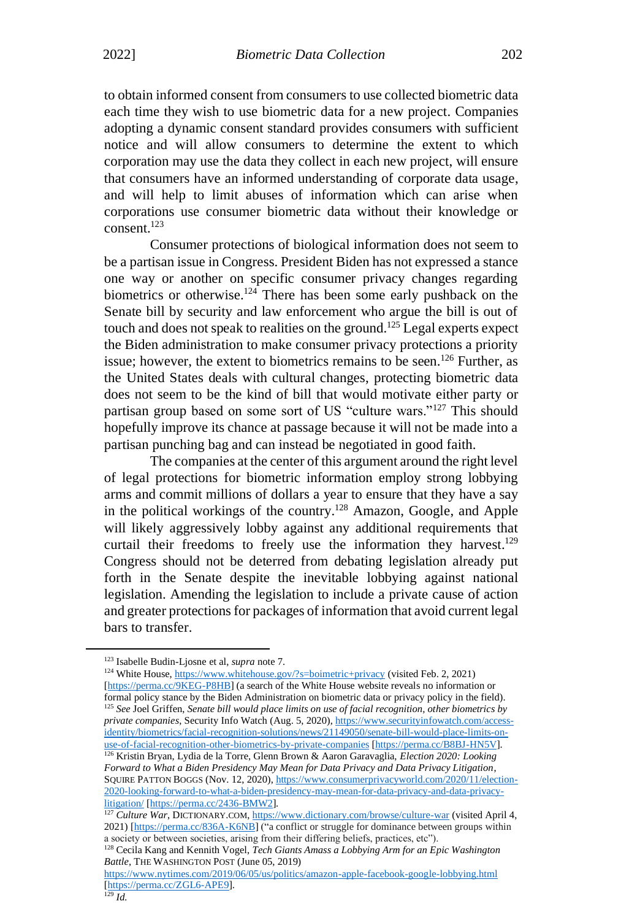to obtain informed consent from consumers to use collected biometric data each time they wish to use biometric data for a new project. Companies adopting a dynamic consent standard provides consumers with sufficient notice and will allow consumers to determine the extent to which corporation may use the data they collect in each new project, will ensure that consumers have an informed understanding of corporate data usage, and will help to limit abuses of information which can arise when corporations use consumer biometric data without their knowledge or consent. 123

Consumer protections of biological information does not seem to be a partisan issue in Congress. President Biden has not expressed a stance one way or another on specific consumer privacy changes regarding biometrics or otherwise.<sup>124</sup> There has been some early pushback on the Senate bill by security and law enforcement who argue the bill is out of touch and does not speak to realities on the ground.<sup>125</sup> Legal experts expect the Biden administration to make consumer privacy protections a priority issue; however, the extent to biometrics remains to be seen. <sup>126</sup> Further, as the United States deals with cultural changes, protecting biometric data does not seem to be the kind of bill that would motivate either party or partisan group based on some sort of US "culture wars."<sup>127</sup> This should hopefully improve its chance at passage because it will not be made into a partisan punching bag and can instead be negotiated in good faith.

The companies at the center of this argument around the right level of legal protections for biometric information employ strong lobbying arms and commit millions of dollars a year to ensure that they have a say in the political workings of the country.<sup>128</sup> Amazon, Google, and Apple will likely aggressively lobby against any additional requirements that curtail their freedoms to freely use the information they harvest.<sup>129</sup> Congress should not be deterred from debating legislation already put forth in the Senate despite the inevitable lobbying against national legislation. Amending the legislation to include a private cause of action and greater protections for packages of information that avoid current legal bars to transfer.

<sup>123</sup> Isabelle Budin-Ljosne et al, *supra* note 7.

<sup>&</sup>lt;sup>124</sup> White House, <https://www.whitehouse.gov/?s=boimetric+privacy> (visited Feb. 2, 2021) [\[https://perma.cc/9KEG-P8HB\]](https://perma.cc/9KEG-P8HB) (a search of the White House website reveals no information or formal policy stance by the Biden Administration on biometric data or privacy policy in the field).

<sup>125</sup> *See* Joel Griffen, *Senate bill would place limits on use of facial recognition, other biometrics by private companies*, Security Info Watch (Aug. 5, 2020), [https://www.securityinfowatch.com/access](https://www.securityinfowatch.com/access-identity/biometrics/facial-recognition-solutions/news/21149050/senate-bill-would-place-limits-on-use-of-facial-recognition-other-biometrics-by-private-companies)[identity/biometrics/facial-recognition-solutions/news/21149050/senate-bill-would-place-limits-on](https://www.securityinfowatch.com/access-identity/biometrics/facial-recognition-solutions/news/21149050/senate-bill-would-place-limits-on-use-of-facial-recognition-other-biometrics-by-private-companies)[use-of-facial-recognition-other-biometrics-by-private-companies](https://www.securityinfowatch.com/access-identity/biometrics/facial-recognition-solutions/news/21149050/senate-bill-would-place-limits-on-use-of-facial-recognition-other-biometrics-by-private-companies) [\[https://perma.cc/B8BJ-HN5V\]](https://perma.cc/B8BJ-HN5V).

<sup>126</sup> Kristin Bryan, Lydia de la Torre, Glenn Brown & Aaron Garavaglia, *Election 2020: Looking Forward to What a Biden Presidency May Mean for Data Privacy and Data Privacy Litigation*, SQUIRE PATTON BOGGS (Nov. 12, 2020), [https://www.consumerprivacyworld.com/2020/11/election-](https://www.consumerprivacyworld.com/2020/11/election-2020-looking-forward-to-what-a-biden-presidency-may-mean-for-data-privacy-and-data-privacy-litigation/)[2020-looking-forward-to-what-a-biden-presidency-may-mean-for-data-privacy-and-data-privacy](https://www.consumerprivacyworld.com/2020/11/election-2020-looking-forward-to-what-a-biden-presidency-may-mean-for-data-privacy-and-data-privacy-litigation/)[litigation/](https://www.consumerprivacyworld.com/2020/11/election-2020-looking-forward-to-what-a-biden-presidency-may-mean-for-data-privacy-and-data-privacy-litigation/) [\[https://perma.cc/2436-BMW2\]](https://perma.cc/2436-BMW2).

<sup>&</sup>lt;sup>127</sup> *Culture War*, DICTIONARY.COM, <https://www.dictionary.com/browse/culture-war> (visited April 4, 2021) [\[https://perma.cc/836A-K6NB\]](https://perma.cc/836A-K6NB) ("a conflict or struggle for dominance between groups within a society or between societies, arising from their differing beliefs, practices, etc").

<sup>&</sup>lt;sup>128</sup> Cecila Kang and Kennith Vogel, *Tech Giants Amass a Lobbying Arm for an Epic Washington Battle*, THE WASHINGTON POST (June 05, 2019)

<https://www.nytimes.com/2019/06/05/us/politics/amazon-apple-facebook-google-lobbying.html> [\[https://perma.cc/ZGL6-APE9\]](https://perma.cc/ZGL6-APE9).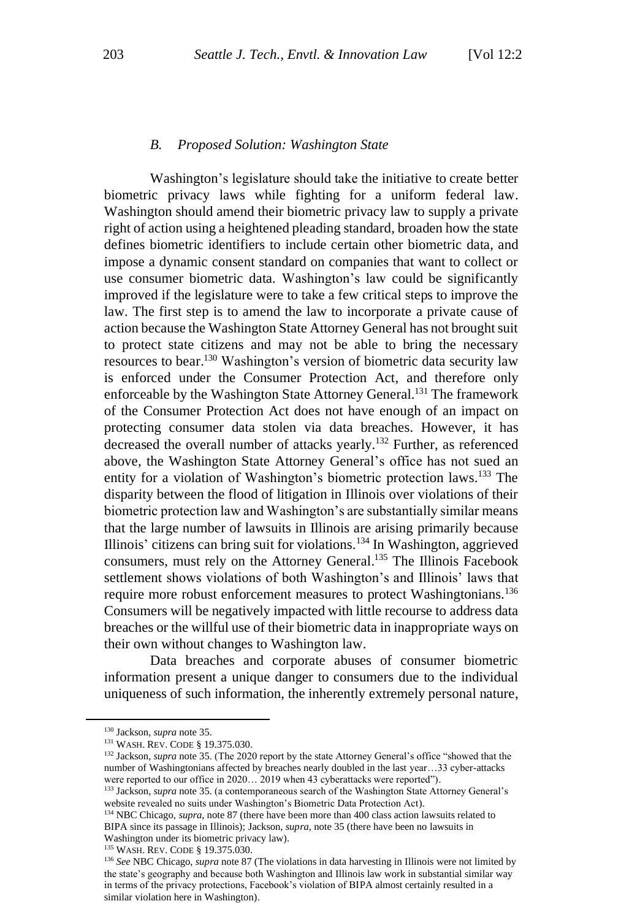#### *B. Proposed Solution: Washington State*

Washington's legislature should take the initiative to create better biometric privacy laws while fighting for a uniform federal law. Washington should amend their biometric privacy law to supply a private right of action using a heightened pleading standard, broaden how the state defines biometric identifiers to include certain other biometric data, and impose a dynamic consent standard on companies that want to collect or use consumer biometric data. Washington's law could be significantly improved if the legislature were to take a few critical steps to improve the law. The first step is to amend the law to incorporate a private cause of action because the Washington State Attorney General has not brought suit to protect state citizens and may not be able to bring the necessary resources to bear.<sup>130</sup> Washington's version of biometric data security law is enforced under the Consumer Protection Act, and therefore only enforceable by the Washington State Attorney General.<sup>131</sup> The framework of the Consumer Protection Act does not have enough of an impact on protecting consumer data stolen via data breaches. However, it has decreased the overall number of attacks yearly. <sup>132</sup> Further, as referenced above, the Washington State Attorney General's office has not sued an entity for a violation of Washington's biometric protection laws. <sup>133</sup> The disparity between the flood of litigation in Illinois over violations of their biometric protection law and Washington's are substantially similar means that the large number of lawsuits in Illinois are arising primarily because Illinois' citizens can bring suit for violations. <sup>134</sup> In Washington, aggrieved consumers, must rely on the Attorney General. <sup>135</sup> The Illinois Facebook settlement shows violations of both Washington's and Illinois' laws that require more robust enforcement measures to protect Washingtonians.<sup>136</sup> Consumers will be negatively impacted with little recourse to address data breaches or the willful use of their biometric data in inappropriate ways on their own without changes to Washington law.

Data breaches and corporate abuses of consumer biometric information present a unique danger to consumers due to the individual uniqueness of such information, the inherently extremely personal nature,

<sup>130</sup> Jackson, *supra* note 35.

<sup>131</sup> WASH. REV. CODE § 19.375.030.

<sup>&</sup>lt;sup>132</sup> Jackson, *supra* note 35. (The 2020 report by the state Attorney General's office "showed that the number of Washingtonians affected by breaches nearly doubled in the last year…33 cyber-attacks were reported to our office in 2020… 2019 when 43 cyberattacks were reported").

<sup>&</sup>lt;sup>133</sup> Jackson, *supra* note 35. (a contemporaneous search of the Washington State Attorney General's website revealed no suits under Washington's Biometric Data Protection Act).

<sup>&</sup>lt;sup>134</sup> NBC Chicago, *supra*, note 87 (there have been more than 400 class action lawsuits related to BIPA since its passage in Illinois); Jackson, *supra*, note 35 (there have been no lawsuits in Washington under its biometric privacy law).

<sup>135</sup> WASH. REV. CODE § 19.375.030.

<sup>136</sup> *See* NBC Chicago, *supra* note 87 (The violations in data harvesting in Illinois were not limited by the state's geography and because both Washington and Illinois law work in substantial similar way in terms of the privacy protections, Facebook's violation of BIPA almost certainly resulted in a similar violation here in Washington).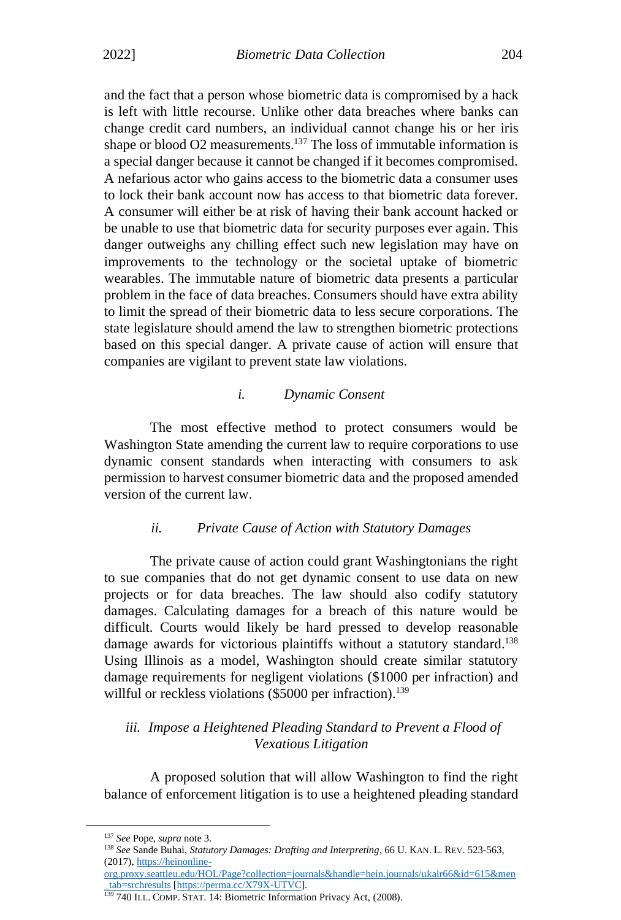and the fact that a person whose biometric data is compromised by a hack is left with little recourse. Unlike other data breaches where banks can change credit card numbers, an individual cannot change his or her iris shape or blood O2 measurements.<sup>137</sup> The loss of immutable information is a special danger because it cannot be changed if it becomes compromised. A nefarious actor who gains access to the biometric data a consumer uses to lock their bank account now has access to that biometric data forever. A consumer will either be at risk of having their bank account hacked or be unable to use that biometric data for security purposes ever again. This danger outweighs any chilling effect such new legislation may have on improvements to the technology or the societal uptake of biometric wearables. The immutable nature of biometric data presents a particular problem in the face of data breaches. Consumers should have extra ability to limit the spread of their biometric data to less secure corporations. The state legislature should amend the law to strengthen biometric protections based on this special danger. A private cause of action will ensure that companies are vigilant to prevent state law violations.

### *i. Dynamic Consent*

The most effective method to protect consumers would be Washington State amending the current law to require corporations to use dynamic consent standards when interacting with consumers to ask permission to harvest consumer biometric data and the proposed amended version of the current law.

# *ii. Private Cause of Action with Statutory Damages*

The private cause of action could grant Washingtonians the right to sue companies that do not get dynamic consent to use data on new projects or for data breaches. The law should also codify statutory damages. Calculating damages for a breach of this nature would be difficult. Courts would likely be hard pressed to develop reasonable damage awards for victorious plaintiffs without a statutory standard.<sup>138</sup> Using Illinois as a model, Washington should create similar statutory damage requirements for negligent violations (\$1000 per infraction) and willful or reckless violations  $(\$5000$  per infraction).<sup>139</sup>

# *iii. Impose a Heightened Pleading Standard to Prevent a Flood of Vexatious Litigation*

A proposed solution that will allow Washington to find the right balance of enforcement litigation is to use a heightened pleading standard

<sup>137</sup> *See* Pope, *supra* note 3.

<sup>138</sup> *See* Sande Buhai, *Statutory Damages: Drafting and Interpreting*, 66 U. KAN. L. REV. 523-563, (2017), [https://heinonline-](https://heinonline-org.proxy.seattleu.edu/HOL/Page?collection=journals&handle=hein.journals/ukalr66&id=615&men_tab=srchresults)

[org.proxy.seattleu.edu/HOL/Page?collection=journals&handle=hein.journals/ukalr66&id=615&men](https://heinonline-org.proxy.seattleu.edu/HOL/Page?collection=journals&handle=hein.journals/ukalr66&id=615&men_tab=srchresults) [\\_tab=srchresults](https://heinonline-org.proxy.seattleu.edu/HOL/Page?collection=journals&handle=hein.journals/ukalr66&id=615&men_tab=srchresults) [\[https://perma.cc/X79X-UTVC\]](https://perma.cc/X79X-UTVC).

<sup>&</sup>lt;sup>139</sup> 740 ILL. COMP. STAT. 14: Biometric Information Privacy Act, (2008).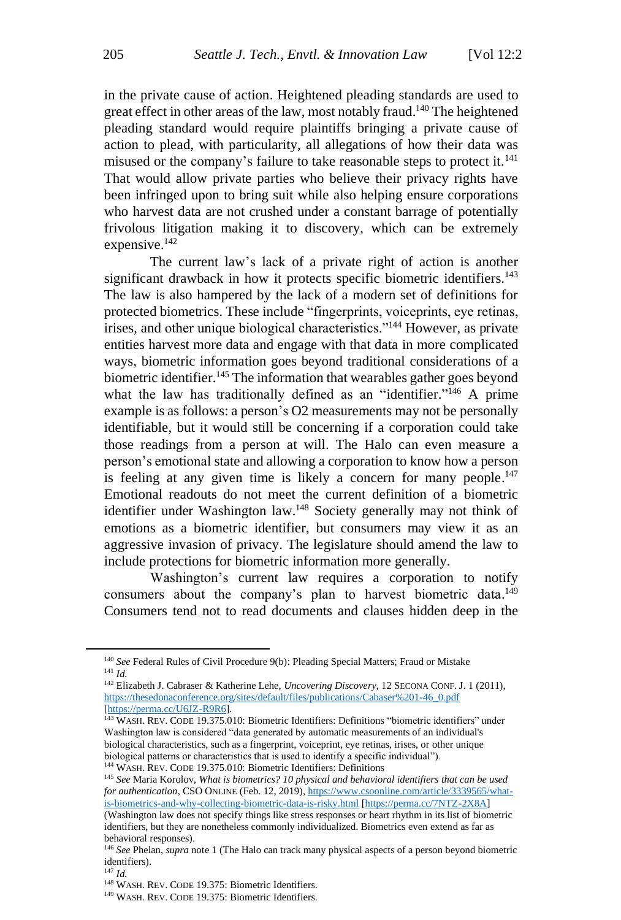in the private cause of action. Heightened pleading standards are used to great effect in other areas of the law, most notably fraud.<sup>140</sup> The heightened pleading standard would require plaintiffs bringing a private cause of action to plead, with particularity, all allegations of how their data was misused or the company's failure to take reasonable steps to protect it.<sup>141</sup> That would allow private parties who believe their privacy rights have been infringed upon to bring suit while also helping ensure corporations who harvest data are not crushed under a constant barrage of potentially frivolous litigation making it to discovery, which can be extremely expensive.<sup>142</sup>

The current law's lack of a private right of action is another significant drawback in how it protects specific biometric identifiers.<sup>143</sup> The law is also hampered by the lack of a modern set of definitions for protected biometrics. These include "fingerprints, voiceprints, eye retinas, irises, and other unique biological characteristics."<sup>144</sup> However, as private entities harvest more data and engage with that data in more complicated ways, biometric information goes beyond traditional considerations of a biometric identifier.<sup>145</sup> The information that wearables gather goes beyond what the law has traditionally defined as an "identifier."<sup>146</sup> A prime example is as follows: a person's O2 measurements may not be personally identifiable, but it would still be concerning if a corporation could take those readings from a person at will. The Halo can even measure a person's emotional state and allowing a corporation to know how a person is feeling at any given time is likely a concern for many people.<sup>147</sup> Emotional readouts do not meet the current definition of a biometric identifier under Washington law.<sup>148</sup> Society generally may not think of emotions as a biometric identifier, but consumers may view it as an aggressive invasion of privacy. The legislature should amend the law to include protections for biometric information more generally.

Washington's current law requires a corporation to notify consumers about the company's plan to harvest biometric data.<sup>149</sup> Consumers tend not to read documents and clauses hidden deep in the

<sup>&</sup>lt;sup>140</sup> See Federal Rules of Civil Procedure 9(b): Pleading Special Matters; Fraud or Mistake <sup>141</sup> *Id.*

<sup>142</sup> Elizabeth J. Cabraser & Katherine Lehe, *Uncovering Discovery*, 12 SECONA CONF. J. 1 (2011), [https://thesedonaconference.org/sites/default/files/publications/Cabaser%201-46\\_0.pdf](https://thesedonaconference.org/sites/default/files/publications/Cabaser%201-46_0.pdf) [\[https://perma.cc/U6JZ-R9R6\]](https://perma.cc/U6JZ-R9R6).

<sup>143</sup> WASH. REV. CODE 19.375.010: Biometric Identifiers: Definitions "biometric identifiers" under Washington law is considered "data generated by automatic measurements of an individual's biological characteristics, such as a fingerprint, voiceprint, eye retinas, irises, or other unique biological patterns or characteristics that is used to identify a specific individual").

<sup>144</sup> WASH. REV. CODE 19.375.010: Biometric Identifiers: Definitions

<sup>145</sup> *See* Maria Korolov, *What is biometrics? 10 physical and behavioral identifiers that can be used for authentication*, CSO ONLINE (Feb. 12, 2019), [https://www.csoonline.com/article/3339565/what](https://www.csoonline.com/article/3339565/what-is-biometrics-and-why-collecting-biometric-data-is-risky.html)[is-biometrics-and-why-collecting-biometric-data-is-risky.html](https://www.csoonline.com/article/3339565/what-is-biometrics-and-why-collecting-biometric-data-is-risky.html) [\[https://perma.cc/7NTZ-2X8A\]](https://perma.cc/7NTZ-2X8A) (Washington law does not specify things like stress responses or heart rhythm in its list of biometric identifiers, but they are nonetheless commonly individualized. Biometrics even extend as far as

behavioral responses). <sup>146</sup> *See* Phelan, *supra* note 1 (The Halo can track many physical aspects of a person beyond biometric

identifiers).

<sup>147</sup> *Id.* 

<sup>148</sup> WASH. REV. CODE 19.375: Biometric Identifiers.

<sup>149</sup> WASH. REV. CODE 19.375: Biometric Identifiers.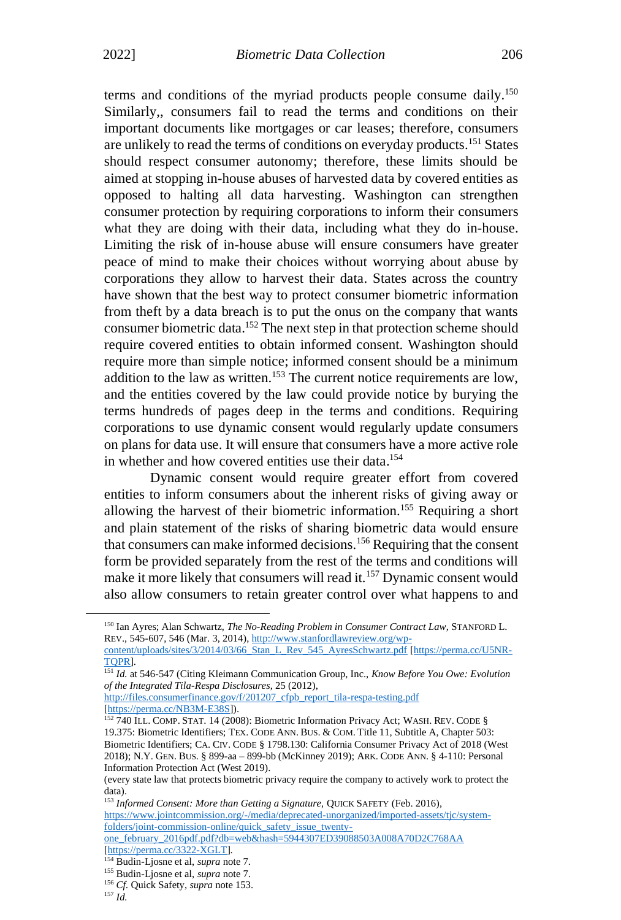terms and conditions of the myriad products people consume daily.<sup>150</sup> Similarly,, consumers fail to read the terms and conditions on their important documents like mortgages or car leases; therefore, consumers are unlikely to read the terms of conditions on everyday products.<sup>151</sup> States should respect consumer autonomy; therefore, these limits should be aimed at stopping in-house abuses of harvested data by covered entities as opposed to halting all data harvesting. Washington can strengthen consumer protection by requiring corporations to inform their consumers what they are doing with their data, including what they do in-house. Limiting the risk of in-house abuse will ensure consumers have greater peace of mind to make their choices without worrying about abuse by corporations they allow to harvest their data. States across the country have shown that the best way to protect consumer biometric information from theft by a data breach is to put the onus on the company that wants consumer biometric data. <sup>152</sup> The next step in that protection scheme should require covered entities to obtain informed consent. Washington should require more than simple notice; informed consent should be a minimum addition to the law as written.<sup>153</sup> The current notice requirements are low, and the entities covered by the law could provide notice by burying the terms hundreds of pages deep in the terms and conditions. Requiring corporations to use dynamic consent would regularly update consumers on plans for data use. It will ensure that consumers have a more active role in whether and how covered entities use their data. 154

Dynamic consent would require greater effort from covered entities to inform consumers about the inherent risks of giving away or allowing the harvest of their biometric information. <sup>155</sup> Requiring a short and plain statement of the risks of sharing biometric data would ensure that consumers can make informed decisions.<sup>156</sup> Requiring that the consent form be provided separately from the rest of the terms and conditions will make it more likely that consumers will read it.<sup>157</sup> Dynamic consent would also allow consumers to retain greater control over what happens to and

[\[https://perma.cc/NB3M-E38S\]](https://perma.cc/NB3M-E38S)).

<sup>150</sup> Ian Ayres; Alan Schwartz, *The No-Reading Problem in Consumer Contract Law*, STANFORD L. REV., 545-607, 546 (Mar. 3, 2014), [http://www.stanfordlawreview.org/wp-](http://www.stanfordlawreview.org/wp-content/uploads/sites/3/2014/03/66_Stan_L_Rev_545_AyresSchwartz.pdf)

[content/uploads/sites/3/2014/03/66\\_Stan\\_L\\_Rev\\_545\\_AyresSchwartz.pdf](http://www.stanfordlawreview.org/wp-content/uploads/sites/3/2014/03/66_Stan_L_Rev_545_AyresSchwartz.pdf) [\[https://perma.cc/U5NR-](https://perma.cc/U5NR-TQPR)[TQPR\]](https://perma.cc/U5NR-TQPR).

<sup>151</sup> *Id.* at 546-547 (Citing Kleimann Communication Group, Inc., *Know Before You Owe: Evolution of the Integrated Tila-Respa Disclosures*, 25 (2012), [http://files.consumerfinance.gov/f/201207\\_cfpb\\_report\\_tila-respa-testing.pdf](http://files.consumerfinance.gov/f/201207_cfpb_report_tila-respa-testing.pdf)

<sup>&</sup>lt;sup>152</sup> 740 ILL. COMP. STAT. 14 (2008): Biometric Information Privacy Act; WASH. REV. CODE § 19.375: Biometric Identifiers; TEX. CODE ANN. BUS. & COM. Title 11, Subtitle A, Chapter 503: Biometric Identifiers; CA. CIV. CODE § 1798.130: California Consumer Privacy Act of 2018 (West 2018); N.Y. GEN. BUS. § 899-aa – 899-bb (McKinney 2019); ARK. CODE ANN. § 4-110: Personal Information Protection Act (West 2019).

<sup>(</sup>every state law that protects biometric privacy require the company to actively work to protect the data).

<sup>153</sup> Informed Consent: More than Getting a Signature, QUICK SAFETY (Feb. 2016), [https://www.jointcommission.org/-/media/deprecated-unorganized/imported-assets/tjc/system](https://www.jointcommission.org/-/media/deprecated-unorganized/imported-assets/tjc/system-folders/joint-commission-online/quick_safety_issue_twenty-one_february_2016pdf.pdf?db=web&hash=5944307ED39088503A008A70D2C768AA)[folders/joint-commission-online/quick\\_safety\\_issue\\_twenty](https://www.jointcommission.org/-/media/deprecated-unorganized/imported-assets/tjc/system-folders/joint-commission-online/quick_safety_issue_twenty-one_february_2016pdf.pdf?db=web&hash=5944307ED39088503A008A70D2C768AA)[one\\_february\\_2016pdf.pdf?db=web&hash=5944307ED39088503A008A70D2C768AA](https://www.jointcommission.org/-/media/deprecated-unorganized/imported-assets/tjc/system-folders/joint-commission-online/quick_safety_issue_twenty-one_february_2016pdf.pdf?db=web&hash=5944307ED39088503A008A70D2C768AA) [\[https://perma.cc/3322-XGLT\]](https://perma.cc/3322-XGLT).

<sup>154</sup> Budin-Ljosne et al, *supra* note 7.

<sup>155</sup> Budin-Ljosne et al, *supra* note 7.

<sup>156</sup> *Cf.* Quick Safety, *supra* note 153.

<sup>157</sup> *Id.*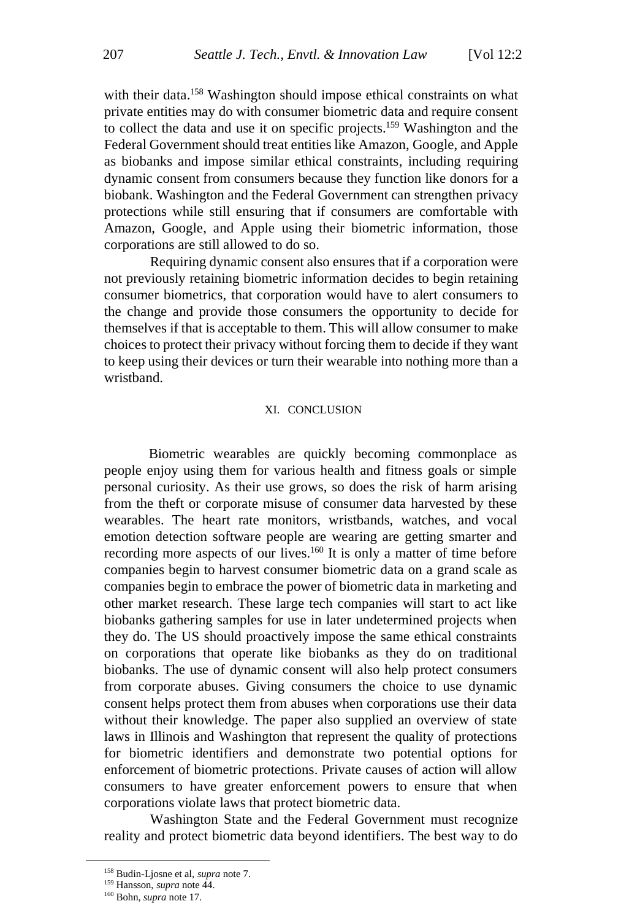with their data.<sup>158</sup> Washington should impose ethical constraints on what private entities may do with consumer biometric data and require consent to collect the data and use it on specific projects.<sup>159</sup> Washington and the Federal Government should treat entities like Amazon, Google, and Apple as biobanks and impose similar ethical constraints, including requiring dynamic consent from consumers because they function like donors for a biobank. Washington and the Federal Government can strengthen privacy protections while still ensuring that if consumers are comfortable with Amazon, Google, and Apple using their biometric information, those corporations are still allowed to do so.

Requiring dynamic consent also ensures that if a corporation were not previously retaining biometric information decides to begin retaining consumer biometrics, that corporation would have to alert consumers to the change and provide those consumers the opportunity to decide for themselves if that is acceptable to them. This will allow consumer to make choices to protect their privacy without forcing them to decide if they want to keep using their devices or turn their wearable into nothing more than a wristband.

#### XI. CONCLUSION

Biometric wearables are quickly becoming commonplace as people enjoy using them for various health and fitness goals or simple personal curiosity. As their use grows, so does the risk of harm arising from the theft or corporate misuse of consumer data harvested by these wearables. The heart rate monitors, wristbands, watches, and vocal emotion detection software people are wearing are getting smarter and recording more aspects of our lives.<sup>160</sup> It is only a matter of time before companies begin to harvest consumer biometric data on a grand scale as companies begin to embrace the power of biometric data in marketing and other market research. These large tech companies will start to act like biobanks gathering samples for use in later undetermined projects when they do. The US should proactively impose the same ethical constraints on corporations that operate like biobanks as they do on traditional biobanks. The use of dynamic consent will also help protect consumers from corporate abuses. Giving consumers the choice to use dynamic consent helps protect them from abuses when corporations use their data without their knowledge. The paper also supplied an overview of state laws in Illinois and Washington that represent the quality of protections for biometric identifiers and demonstrate two potential options for enforcement of biometric protections. Private causes of action will allow consumers to have greater enforcement powers to ensure that when corporations violate laws that protect biometric data.

Washington State and the Federal Government must recognize reality and protect biometric data beyond identifiers. The best way to do

<sup>158</sup> Budin-Ljosne et al, *supra* note 7.

<sup>159</sup> Hansson, *supra* note 44.

<sup>160</sup> Bohn, *supra* note 17.